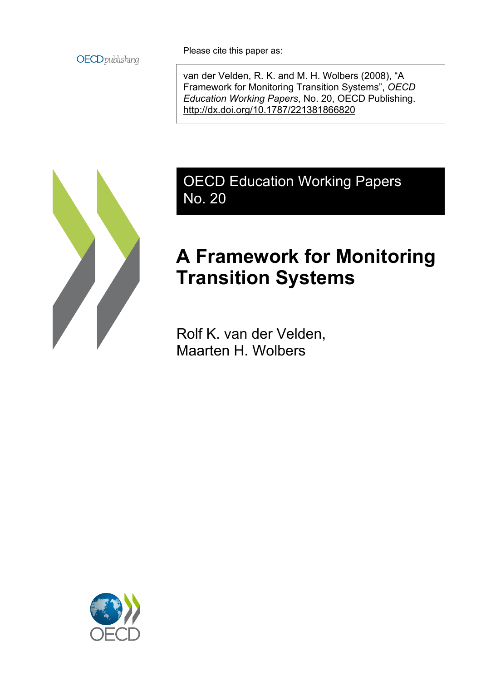

Please cite this paper as:

van der Velden, R. K. and M. H. Wolbers (2008), "A Framework for Monitoring Transition Systems", *OECD Education Working Papers*, No. 20, OECD Publishing. <http://dx.doi.org/10.1787/221381866820>



OECD Education Working Papers No. 20

# **A Framework for Monitoring Transition Systems**

Rolf K. van der Velden, Maarten H. Wolbers

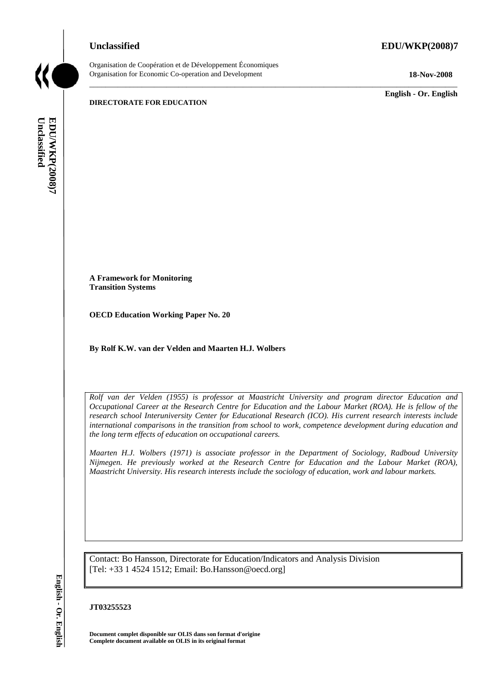Organisation de Coopération et de Développement Économiques Organisation for Economic Co-operation and Development **18-Nov-2008** 

**English - Or. English** 

**DIRECTORATE FOR EDUCATION** 

Unclassified **Unclassified**  EDUWKP(2008)7 **EDU/WKP(2008)7 English - Or. English**

**A Framework for Monitoring Transition Systems** 

**OECD Education Working Paper No. 20** 

**By Rolf K.W. van der Velden and Maarten H.J. Wolbers** 

*Rolf van der Velden (1955) is professor at Maastricht University and program director Education and Occupational Career at the Research Centre for Education and the Labour Market (ROA). He is fellow of the research school Interuniversity Center for Educational Research (ICO). His current research interests include international comparisons in the transition from school to work, competence development during education and the long term effects of education on occupational careers.* 

 $\_$  ,  $\_$  ,  $\_$  ,  $\_$  ,  $\_$  ,  $\_$  ,  $\_$  ,  $\_$  ,  $\_$  ,  $\_$  ,  $\_$  ,  $\_$  ,  $\_$  ,  $\_$  ,  $\_$  ,  $\_$  ,  $\_$  ,  $\_$  ,  $\_$  ,  $\_$  ,  $\_$  ,  $\_$  ,  $\_$  ,  $\_$  ,  $\_$  ,  $\_$  ,  $\_$  ,  $\_$  ,  $\_$  ,  $\_$  ,  $\_$  ,  $\_$  ,  $\_$  ,  $\_$  ,  $\_$  ,  $\_$  ,  $\_$  ,

*Maarten H.J. Wolbers (1971) is associate professor in the Department of Sociology, Radboud University Nijmegen. He previously worked at the Research Centre for Education and the Labour Market (ROA), Maastricht University. His research interests include the sociology of education, work and labour markets.* 

Contact: Bo Hansson, Directorate for Education/Indicators and Analysis Division [Tel: +33 1 4524 1512; Email: Bo.Hansson@oecd.org]

#### **JT03255523**

**Document complet disponible sur OLIS dans son format d'origine Complete document available on OLIS in its original format** 

English - Or. English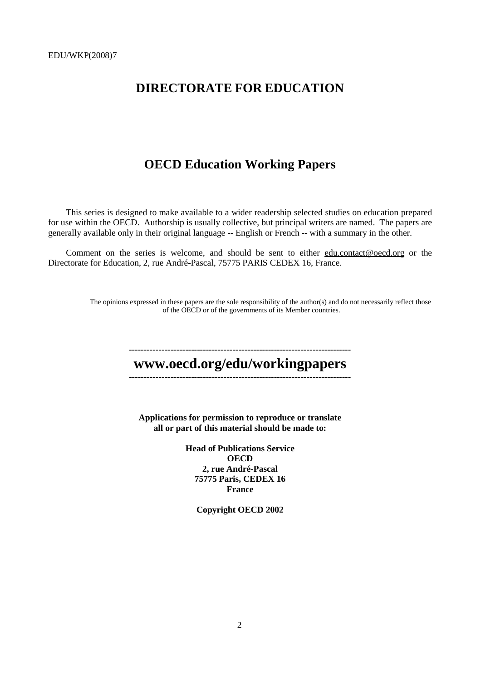## **DIRECTORATE FOR EDUCATION**

## **OECD Education Working Papers**

This series is designed to make available to a wider readership selected studies on education prepared for use within the OECD. Authorship is usually collective, but principal writers are named. The papers are generally available only in their original language -- English or French -- with a summary in the other.

Comment on the series is welcome, and should be sent to either edu.contact@oecd.org or the Directorate for Education, 2, rue André-Pascal, 75775 PARIS CEDEX 16, France.

> The opinions expressed in these papers are the sole responsibility of the author(s) and do not necessarily reflect those of the OECD or of the governments of its Member countries.

## -------------------------------------------------------------------------- **www.oecd.org/edu/workingpapers**  --------------------------------------------------------------------------- **Applications for permission to reproduce or translate all or part of this material should be made to: Head of Publications Service OECD 2, rue André-Pascal 75775 Paris, CEDEX 16 France Copyright OECD 2002**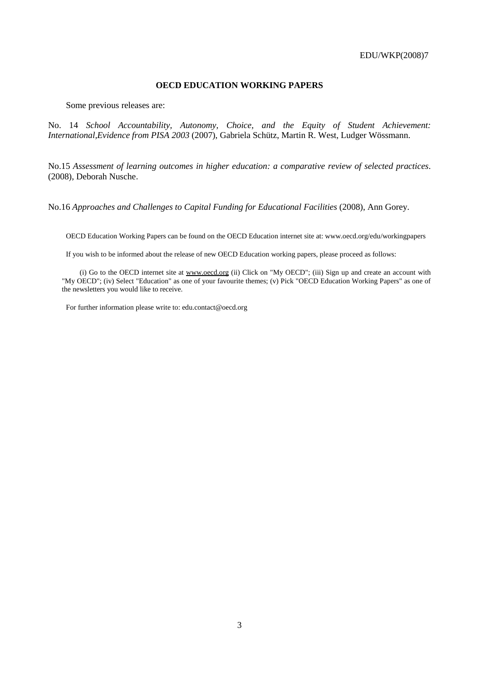## **OECD EDUCATION WORKING PAPERS**

Some previous releases are:

No. 14 *School Accountability, Autonomy, Choice, and the Equity of Student Achievement: International,Evidence from PISA 2003* (2007), Gabriela Schütz, Martin R. West, Ludger Wössmann.

No.15 *Assessment of learning outcomes in higher education: a comparative review of selected practices*. (2008), Deborah Nusche.

No.16 *Approaches and Challenges to Capital Funding for Educational Facilities* (2008), Ann Gorey.

OECD Education Working Papers can be found on the OECD Education internet site at: www.oecd.org/edu/workingpapers

If you wish to be informed about the release of new OECD Education working papers, please proceed as follows:

(i) Go to the OECD internet site at www.oecd.org (ii) Click on "My OECD"; (iii) Sign up and create an account with "My OECD"; (iv) Select "Education" as one of your favourite themes; (v) Pick "OECD Education Working Papers" as one of the newsletters you would like to receive.

For further information please write to: edu.contact@oecd.org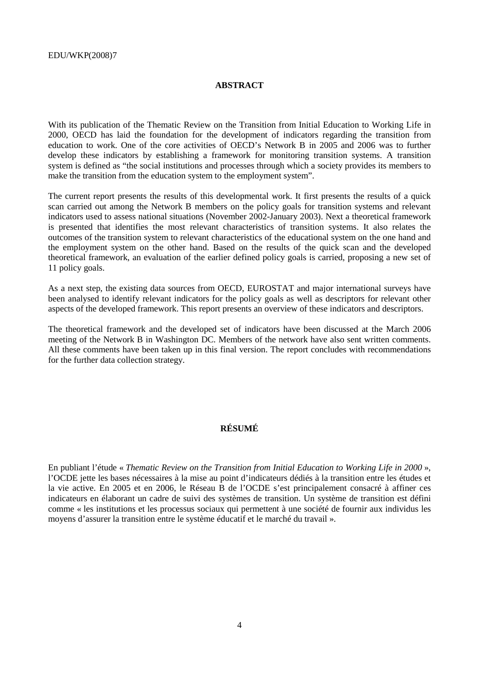#### **ABSTRACT**

With its publication of the Thematic Review on the Transition from Initial Education to Working Life in 2000, OECD has laid the foundation for the development of indicators regarding the transition from education to work. One of the core activities of OECD's Network B in 2005 and 2006 was to further develop these indicators by establishing a framework for monitoring transition systems. A transition system is defined as "the social institutions and processes through which a society provides its members to make the transition from the education system to the employment system".

The current report presents the results of this developmental work. It first presents the results of a quick scan carried out among the Network B members on the policy goals for transition systems and relevant indicators used to assess national situations (November 2002-January 2003). Next a theoretical framework is presented that identifies the most relevant characteristics of transition systems. It also relates the outcomes of the transition system to relevant characteristics of the educational system on the one hand and the employment system on the other hand. Based on the results of the quick scan and the developed theoretical framework, an evaluation of the earlier defined policy goals is carried, proposing a new set of 11 policy goals.

As a next step, the existing data sources from OECD, EUROSTAT and major international surveys have been analysed to identify relevant indicators for the policy goals as well as descriptors for relevant other aspects of the developed framework. This report presents an overview of these indicators and descriptors.

The theoretical framework and the developed set of indicators have been discussed at the March 2006 meeting of the Network B in Washington DC. Members of the network have also sent written comments. All these comments have been taken up in this final version. The report concludes with recommendations for the further data collection strategy.

## **RÉSUMÉ**

En publiant l'étude « *Thematic Review on the Transition from Initial Education to Working Life in 2000* », l'OCDE jette les bases nécessaires à la mise au point d'indicateurs dédiés à la transition entre les études et la vie active. En 2005 et en 2006, le Réseau B de l'OCDE s'est principalement consacré à affiner ces indicateurs en élaborant un cadre de suivi des systèmes de transition. Un système de transition est défini comme « les institutions et les processus sociaux qui permettent à une société de fournir aux individus les moyens d'assurer la transition entre le système éducatif et le marché du travail ».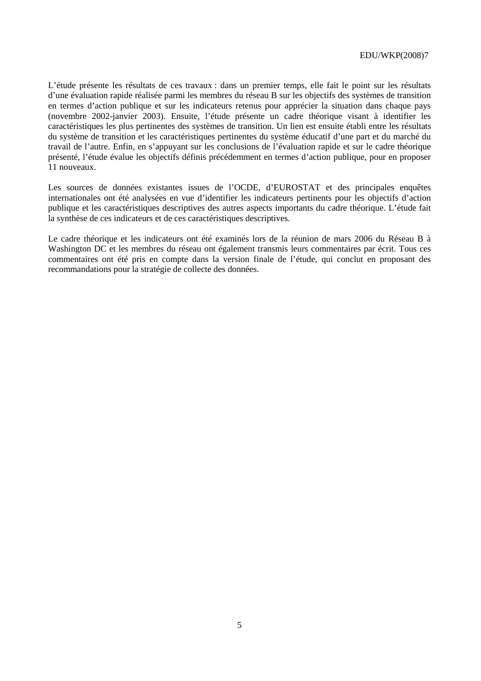L'étude présente les résultats de ces travaux : dans un premier temps, elle fait le point sur les résultats d'une évaluation rapide réalisée parmi les membres du réseau B sur les objectifs des systèmes de transition en termes d'action publique et sur les indicateurs retenus pour apprécier la situation dans chaque pays (novembre 2002-janvier 2003). Ensuite, l'étude présente un cadre théorique visant à identifier les caractéristiques les plus pertinentes des systèmes de transition. Un lien est ensuite établi entre les résultats du système de transition et les caractéristiques pertinentes du système éducatif d'une part et du marché du travail de l'autre. Enfin, en s'appuyant sur les conclusions de l'évaluation rapide et sur le cadre théorique présenté, l'étude évalue les objectifs définis précédemment en termes d'action publique, pour en proposer 11 nouveaux.

Les sources de données existantes issues de l'OCDE, d'EUROSTAT et des principales enquêtes internationales ont été analysées en vue d'identifier les indicateurs pertinents pour les objectifs d'action publique et les caractéristiques descriptives des autres aspects importants du cadre théorique. L'étude fait la synthèse de ces indicateurs et de ces caractéristiques descriptives.

Le cadre théorique et les indicateurs ont été examinés lors de la réunion de mars 2006 du Réseau B à Washington DC et les membres du réseau ont également transmis leurs commentaires par écrit. Tous ces commentaires ont été pris en compte dans la version finale de l'étude, qui conclut en proposant des recommandations pour la stratégie de collecte des données.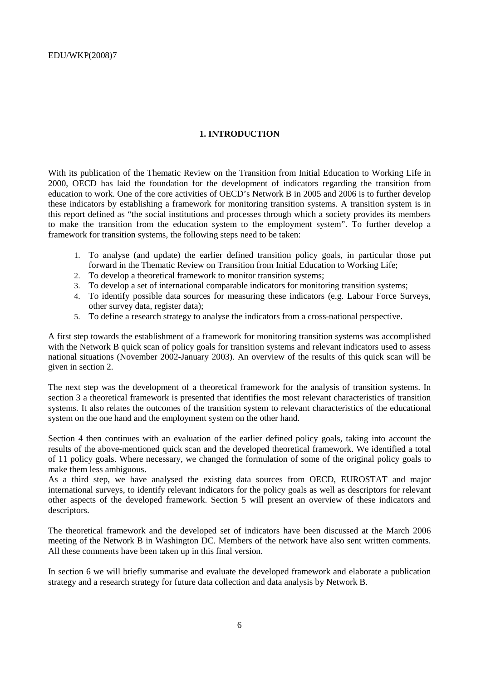## **1. INTRODUCTION**

With its publication of the Thematic Review on the Transition from Initial Education to Working Life in 2000, OECD has laid the foundation for the development of indicators regarding the transition from education to work. One of the core activities of OECD's Network B in 2005 and 2006 is to further develop these indicators by establishing a framework for monitoring transition systems. A transition system is in this report defined as "the social institutions and processes through which a society provides its members to make the transition from the education system to the employment system". To further develop a framework for transition systems, the following steps need to be taken:

- 1. To analyse (and update) the earlier defined transition policy goals, in particular those put forward in the Thematic Review on Transition from Initial Education to Working Life;
- 2. To develop a theoretical framework to monitor transition systems;
- 3. To develop a set of international comparable indicators for monitoring transition systems;
- 4. To identify possible data sources for measuring these indicators (e.g. Labour Force Surveys, other survey data, register data);
- 5. To define a research strategy to analyse the indicators from a cross-national perspective.

A first step towards the establishment of a framework for monitoring transition systems was accomplished with the Network B quick scan of policy goals for transition systems and relevant indicators used to assess national situations (November 2002-January 2003). An overview of the results of this quick scan will be given in section 2.

The next step was the development of a theoretical framework for the analysis of transition systems. In section 3 a theoretical framework is presented that identifies the most relevant characteristics of transition systems. It also relates the outcomes of the transition system to relevant characteristics of the educational system on the one hand and the employment system on the other hand.

Section 4 then continues with an evaluation of the earlier defined policy goals, taking into account the results of the above-mentioned quick scan and the developed theoretical framework. We identified a total of 11 policy goals. Where necessary, we changed the formulation of some of the original policy goals to make them less ambiguous.

As a third step, we have analysed the existing data sources from OECD, EUROSTAT and major international surveys, to identify relevant indicators for the policy goals as well as descriptors for relevant other aspects of the developed framework. Section 5 will present an overview of these indicators and descriptors.

The theoretical framework and the developed set of indicators have been discussed at the March 2006 meeting of the Network B in Washington DC. Members of the network have also sent written comments. All these comments have been taken up in this final version.

In section 6 we will briefly summarise and evaluate the developed framework and elaborate a publication strategy and a research strategy for future data collection and data analysis by Network B.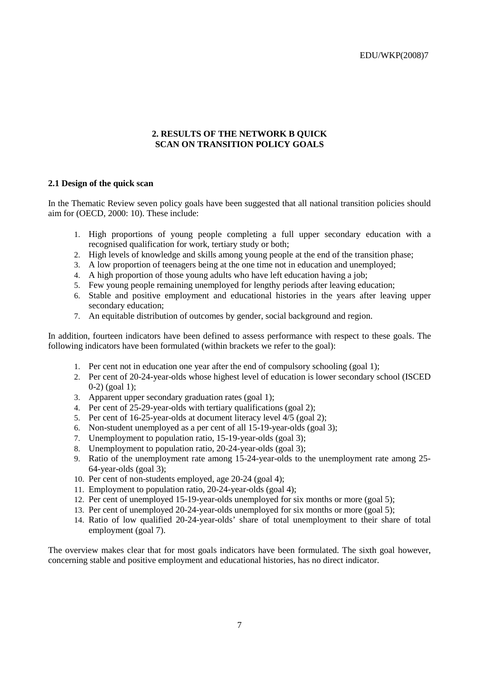#### **2. RESULTS OF THE NETWORK B QUICK SCAN ON TRANSITION POLICY GOALS**

#### **2.1 Design of the quick scan**

In the Thematic Review seven policy goals have been suggested that all national transition policies should aim for (OECD, 2000: 10). These include:

- 1. High proportions of young people completing a full upper secondary education with a recognised qualification for work, tertiary study or both;
- 2. High levels of knowledge and skills among young people at the end of the transition phase;
- 3. A low proportion of teenagers being at the one time not in education and unemployed;
- 4. A high proportion of those young adults who have left education having a job;
- 5. Few young people remaining unemployed for lengthy periods after leaving education;
- 6. Stable and positive employment and educational histories in the years after leaving upper secondary education;
- 7. An equitable distribution of outcomes by gender, social background and region.

In addition, fourteen indicators have been defined to assess performance with respect to these goals. The following indicators have been formulated (within brackets we refer to the goal):

- 1. Per cent not in education one year after the end of compulsory schooling (goal 1);
- 2. Per cent of 20-24-year-olds whose highest level of education is lower secondary school (ISCED 0-2) (goal 1);
- 3. Apparent upper secondary graduation rates (goal 1);
- 4. Per cent of 25-29-year-olds with tertiary qualifications (goal 2);
- 5. Per cent of 16-25-year-olds at document literacy level 4/5 (goal 2);
- 6. Non-student unemployed as a per cent of all 15-19-year-olds (goal 3);
- 7. Unemployment to population ratio, 15-19-year-olds (goal 3);
- 8. Unemployment to population ratio, 20-24-year-olds (goal 3);
- 9. Ratio of the unemployment rate among 15-24-year-olds to the unemployment rate among 25- 64-year-olds (goal 3);
- 10. Per cent of non-students employed, age 20-24 (goal 4);
- 11. Employment to population ratio, 20-24-year-olds (goal 4);
- 12. Per cent of unemployed 15-19-year-olds unemployed for six months or more (goal 5);
- 13. Per cent of unemployed 20-24-year-olds unemployed for six months or more (goal 5);
- 14. Ratio of low qualified 20-24-year-olds' share of total unemployment to their share of total employment (goal 7).

The overview makes clear that for most goals indicators have been formulated. The sixth goal however, concerning stable and positive employment and educational histories, has no direct indicator.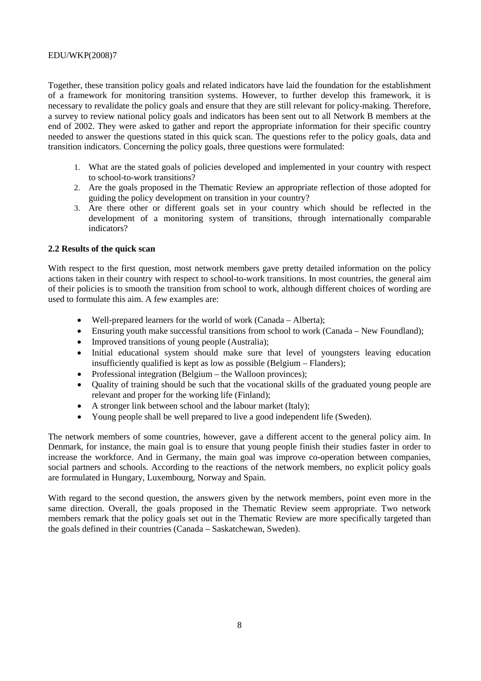Together, these transition policy goals and related indicators have laid the foundation for the establishment of a framework for monitoring transition systems. However, to further develop this framework, it is necessary to revalidate the policy goals and ensure that they are still relevant for policy-making. Therefore, a survey to review national policy goals and indicators has been sent out to all Network B members at the end of 2002. They were asked to gather and report the appropriate information for their specific country needed to answer the questions stated in this quick scan. The questions refer to the policy goals, data and transition indicators. Concerning the policy goals, three questions were formulated:

- 1. What are the stated goals of policies developed and implemented in your country with respect to school-to-work transitions?
- 2. Are the goals proposed in the Thematic Review an appropriate reflection of those adopted for guiding the policy development on transition in your country?
- 3. Are there other or different goals set in your country which should be reflected in the development of a monitoring system of transitions, through internationally comparable indicators?

## **2.2 Results of the quick scan**

With respect to the first question, most network members gave pretty detailed information on the policy actions taken in their country with respect to school-to-work transitions. In most countries, the general aim of their policies is to smooth the transition from school to work, although different choices of wording are used to formulate this aim. A few examples are:

- Well-prepared learners for the world of work (Canada Alberta);
- Ensuring youth make successful transitions from school to work (Canada New Foundland);
- Improved transitions of young people (Australia);
- Initial educational system should make sure that level of youngsters leaving education insufficiently qualified is kept as low as possible (Belgium – Flanders);
- Professional integration (Belgium the Walloon provinces);
- Quality of training should be such that the vocational skills of the graduated young people are relevant and proper for the working life (Finland);
- A stronger link between school and the labour market (Italy);
- Young people shall be well prepared to live a good independent life (Sweden).

The network members of some countries, however, gave a different accent to the general policy aim. In Denmark, for instance, the main goal is to ensure that young people finish their studies faster in order to increase the workforce. And in Germany, the main goal was improve co-operation between companies, social partners and schools. According to the reactions of the network members, no explicit policy goals are formulated in Hungary, Luxembourg, Norway and Spain.

With regard to the second question, the answers given by the network members, point even more in the same direction. Overall, the goals proposed in the Thematic Review seem appropriate. Two network members remark that the policy goals set out in the Thematic Review are more specifically targeted than the goals defined in their countries (Canada – Saskatchewan, Sweden).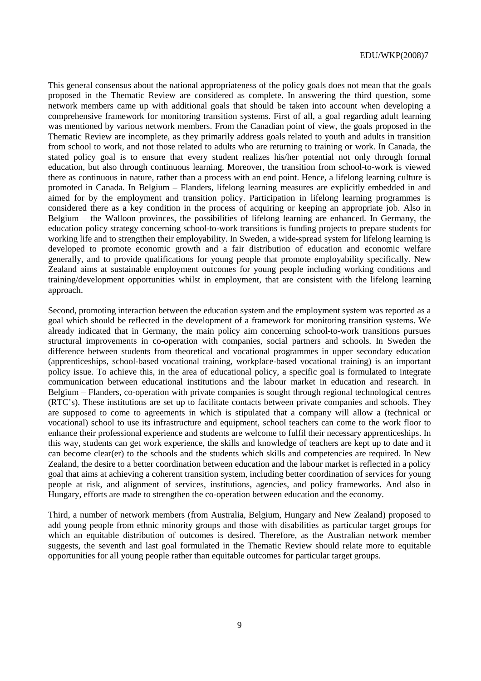This general consensus about the national appropriateness of the policy goals does not mean that the goals proposed in the Thematic Review are considered as complete. In answering the third question, some network members came up with additional goals that should be taken into account when developing a comprehensive framework for monitoring transition systems. First of all, a goal regarding adult learning was mentioned by various network members. From the Canadian point of view, the goals proposed in the Thematic Review are incomplete, as they primarily address goals related to youth and adults in transition from school to work, and not those related to adults who are returning to training or work. In Canada, the stated policy goal is to ensure that every student realizes his/her potential not only through formal education, but also through continuous learning. Moreover, the transition from school-to-work is viewed there as continuous in nature, rather than a process with an end point. Hence, a lifelong learning culture is promoted in Canada. In Belgium – Flanders, lifelong learning measures are explicitly embedded in and aimed for by the employment and transition policy. Participation in lifelong learning programmes is considered there as a key condition in the process of acquiring or keeping an appropriate job. Also in Belgium – the Walloon provinces, the possibilities of lifelong learning are enhanced. In Germany, the education policy strategy concerning school-to-work transitions is funding projects to prepare students for working life and to strengthen their employability. In Sweden, a wide-spread system for lifelong learning is developed to promote economic growth and a fair distribution of education and economic welfare generally, and to provide qualifications for young people that promote employability specifically. New Zealand aims at sustainable employment outcomes for young people including working conditions and training/development opportunities whilst in employment, that are consistent with the lifelong learning approach.

Second, promoting interaction between the education system and the employment system was reported as a goal which should be reflected in the development of a framework for monitoring transition systems. We already indicated that in Germany, the main policy aim concerning school-to-work transitions pursues structural improvements in co-operation with companies, social partners and schools. In Sweden the difference between students from theoretical and vocational programmes in upper secondary education (apprenticeships, school-based vocational training, workplace-based vocational training) is an important policy issue. To achieve this, in the area of educational policy, a specific goal is formulated to integrate communication between educational institutions and the labour market in education and research. In Belgium – Flanders, co-operation with private companies is sought through regional technological centres (RTC's). These institutions are set up to facilitate contacts between private companies and schools. They are supposed to come to agreements in which is stipulated that a company will allow a (technical or vocational) school to use its infrastructure and equipment, school teachers can come to the work floor to enhance their professional experience and students are welcome to fulfil their necessary apprenticeships. In this way, students can get work experience, the skills and knowledge of teachers are kept up to date and it can become clear(er) to the schools and the students which skills and competencies are required. In New Zealand, the desire to a better coordination between education and the labour market is reflected in a policy goal that aims at achieving a coherent transition system, including better coordination of services for young people at risk, and alignment of services, institutions, agencies, and policy frameworks. And also in Hungary, efforts are made to strengthen the co-operation between education and the economy.

Third, a number of network members (from Australia, Belgium, Hungary and New Zealand) proposed to add young people from ethnic minority groups and those with disabilities as particular target groups for which an equitable distribution of outcomes is desired. Therefore, as the Australian network member suggests, the seventh and last goal formulated in the Thematic Review should relate more to equitable opportunities for all young people rather than equitable outcomes for particular target groups.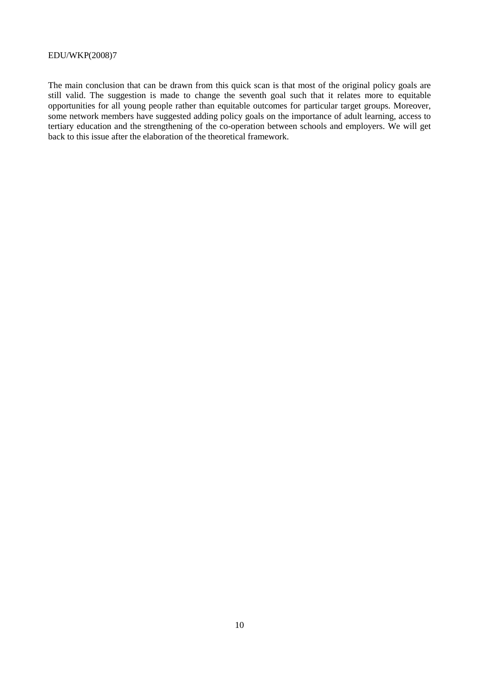The main conclusion that can be drawn from this quick scan is that most of the original policy goals are still valid. The suggestion is made to change the seventh goal such that it relates more to equitable opportunities for all young people rather than equitable outcomes for particular target groups. Moreover, some network members have suggested adding policy goals on the importance of adult learning, access to tertiary education and the strengthening of the co-operation between schools and employers. We will get back to this issue after the elaboration of the theoretical framework.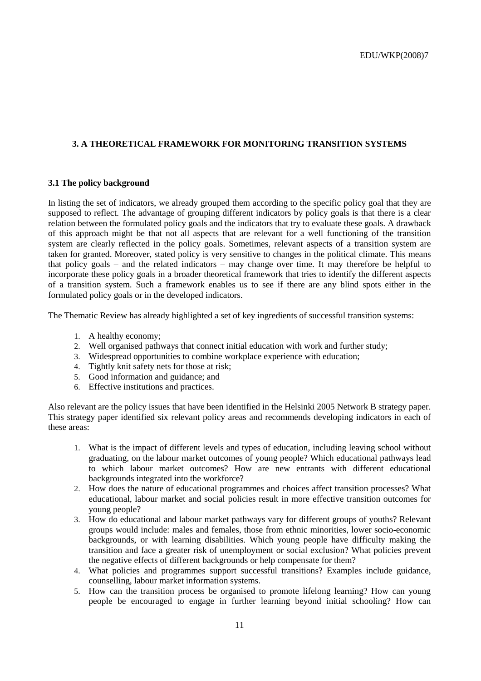## **3. A THEORETICAL FRAMEWORK FOR MONITORING TRANSITION SYSTEMS**

#### **3.1 The policy background**

In listing the set of indicators, we already grouped them according to the specific policy goal that they are supposed to reflect. The advantage of grouping different indicators by policy goals is that there is a clear relation between the formulated policy goals and the indicators that try to evaluate these goals. A drawback of this approach might be that not all aspects that are relevant for a well functioning of the transition system are clearly reflected in the policy goals. Sometimes, relevant aspects of a transition system are taken for granted. Moreover, stated policy is very sensitive to changes in the political climate. This means that policy goals – and the related indicators – may change over time. It may therefore be helpful to incorporate these policy goals in a broader theoretical framework that tries to identify the different aspects of a transition system. Such a framework enables us to see if there are any blind spots either in the formulated policy goals or in the developed indicators.

The Thematic Review has already highlighted a set of key ingredients of successful transition systems:

- 1. A healthy economy;
- 2. Well organised pathways that connect initial education with work and further study;
- 3. Widespread opportunities to combine workplace experience with education;
- 4. Tightly knit safety nets for those at risk;
- 5. Good information and guidance; and
- 6. Effective institutions and practices.

Also relevant are the policy issues that have been identified in the Helsinki 2005 Network B strategy paper. This strategy paper identified six relevant policy areas and recommends developing indicators in each of these areas:

- 1. What is the impact of different levels and types of education, including leaving school without graduating, on the labour market outcomes of young people? Which educational pathways lead to which labour market outcomes? How are new entrants with different educational backgrounds integrated into the workforce?
- 2. How does the nature of educational programmes and choices affect transition processes? What educational, labour market and social policies result in more effective transition outcomes for young people?
- 3. How do educational and labour market pathways vary for different groups of youths? Relevant groups would include: males and females, those from ethnic minorities, lower socio-economic backgrounds, or with learning disabilities. Which young people have difficulty making the transition and face a greater risk of unemployment or social exclusion? What policies prevent the negative effects of different backgrounds or help compensate for them?
- 4. What policies and programmes support successful transitions? Examples include guidance, counselling, labour market information systems.
- 5. How can the transition process be organised to promote lifelong learning? How can young people be encouraged to engage in further learning beyond initial schooling? How can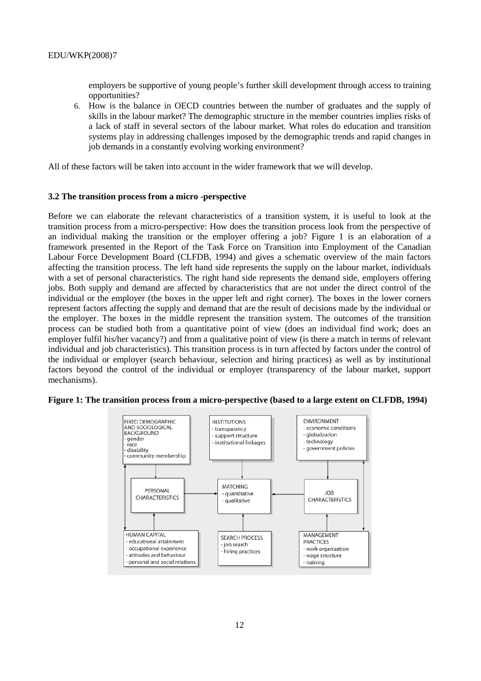employers be supportive of young people's further skill development through access to training opportunities?

6. How is the balance in OECD countries between the number of graduates and the supply of skills in the labour market? The demographic structure in the member countries implies risks of a lack of staff in several sectors of the labour market. What roles do education and transition systems play in addressing challenges imposed by the demographic trends and rapid changes in job demands in a constantly evolving working environment?

All of these factors will be taken into account in the wider framework that we will develop.

#### **3.2 The transition process from a micro -perspective**

Before we can elaborate the relevant characteristics of a transition system, it is useful to look at the transition process from a micro-perspective: How does the transition process look from the perspective of an individual making the transition or the employer offering a job? Figure 1 is an elaboration of a framework presented in the Report of the Task Force on Transition into Employment of the Canadian Labour Force Development Board (CLFDB, 1994) and gives a schematic overview of the main factors affecting the transition process. The left hand side represents the supply on the labour market, individuals with a set of personal characteristics. The right hand side represents the demand side, employers offering jobs. Both supply and demand are affected by characteristics that are not under the direct control of the individual or the employer (the boxes in the upper left and right corner). The boxes in the lower corners represent factors affecting the supply and demand that are the result of decisions made by the individual or the employer. The boxes in the middle represent the transition system. The outcomes of the transition process can be studied both from a quantitative point of view (does an individual find work; does an employer fulfil his/her vacancy?) and from a qualitative point of view (is there a match in terms of relevant individual and job characteristics). This transition process is in turn affected by factors under the control of the individual or employer (search behaviour, selection and hiring practices) as well as by institutional factors beyond the control of the individual or employer (transparency of the labour market, support mechanisms).



**Figure 1: The transition process from a micro-perspective (based to a large extent on CLFDB, 1994)**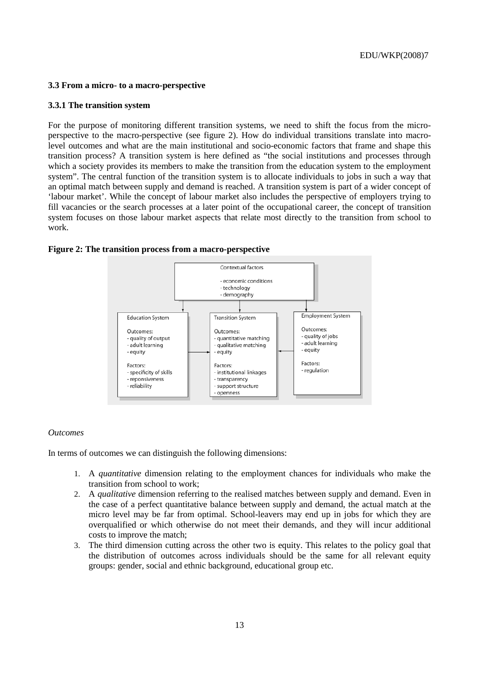#### **3.3 From a micro- to a macro-perspective**

#### **3.3.1 The transition system**

For the purpose of monitoring different transition systems, we need to shift the focus from the microperspective to the macro-perspective (see figure 2). How do individual transitions translate into macrolevel outcomes and what are the main institutional and socio-economic factors that frame and shape this transition process? A transition system is here defined as "the social institutions and processes through which a society provides its members to make the transition from the education system to the employment system". The central function of the transition system is to allocate individuals to jobs in such a way that an optimal match between supply and demand is reached. A transition system is part of a wider concept of 'labour market'. While the concept of labour market also includes the perspective of employers trying to fill vacancies or the search processes at a later point of the occupational career, the concept of transition system focuses on those labour market aspects that relate most directly to the transition from school to work.



#### **Figure 2: The transition process from a macro-perspective**

#### *Outcomes*

In terms of outcomes we can distinguish the following dimensions:

- 1. A *quantitative* dimension relating to the employment chances for individuals who make the transition from school to work;
- 2. A *qualitative* dimension referring to the realised matches between supply and demand. Even in the case of a perfect quantitative balance between supply and demand, the actual match at the micro level may be far from optimal. School-leavers may end up in jobs for which they are overqualified or which otherwise do not meet their demands, and they will incur additional costs to improve the match;
- 3. The third dimension cutting across the other two is equity. This relates to the policy goal that the distribution of outcomes across individuals should be the same for all relevant equity groups: gender, social and ethnic background, educational group etc.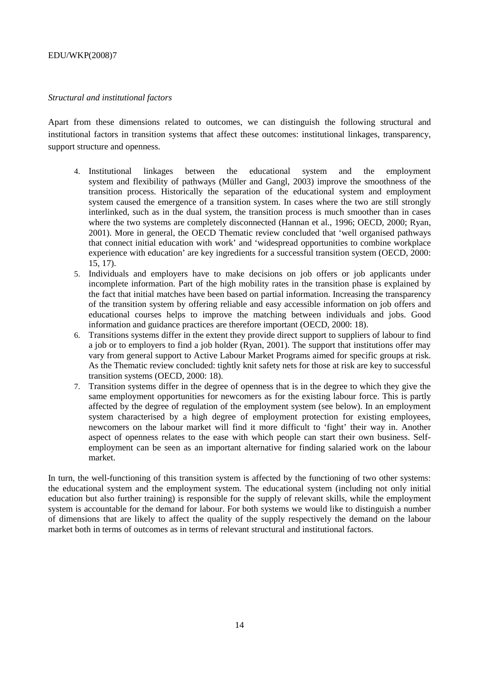### *Structural and institutional factors*

Apart from these dimensions related to outcomes, we can distinguish the following structural and institutional factors in transition systems that affect these outcomes: institutional linkages, transparency, support structure and openness.

- 4. Institutional linkages between the educational system and the employment system and flexibility of pathways (Müller and Gangl, 2003) improve the smoothness of the transition process. Historically the separation of the educational system and employment system caused the emergence of a transition system. In cases where the two are still strongly interlinked, such as in the dual system, the transition process is much smoother than in cases where the two systems are completely disconnected (Hannan et al., 1996; OECD, 2000; Ryan, 2001). More in general, the OECD Thematic review concluded that 'well organised pathways that connect initial education with work' and 'widespread opportunities to combine workplace experience with education' are key ingredients for a successful transition system (OECD, 2000: 15, 17).
- 5. Individuals and employers have to make decisions on job offers or job applicants under incomplete information. Part of the high mobility rates in the transition phase is explained by the fact that initial matches have been based on partial information. Increasing the transparency of the transition system by offering reliable and easy accessible information on job offers and educational courses helps to improve the matching between individuals and jobs. Good information and guidance practices are therefore important (OECD, 2000: 18).
- 6. Transitions systems differ in the extent they provide direct support to suppliers of labour to find a job or to employers to find a job holder (Ryan, 2001). The support that institutions offer may vary from general support to Active Labour Market Programs aimed for specific groups at risk. As the Thematic review concluded: tightly knit safety nets for those at risk are key to successful transition systems (OECD, 2000: 18).
- 7. Transition systems differ in the degree of openness that is in the degree to which they give the same employment opportunities for newcomers as for the existing labour force. This is partly affected by the degree of regulation of the employment system (see below). In an employment system characterised by a high degree of employment protection for existing employees, newcomers on the labour market will find it more difficult to 'fight' their way in. Another aspect of openness relates to the ease with which people can start their own business. Selfemployment can be seen as an important alternative for finding salaried work on the labour market.

In turn, the well-functioning of this transition system is affected by the functioning of two other systems: the educational system and the employment system. The educational system (including not only initial education but also further training) is responsible for the supply of relevant skills, while the employment system is accountable for the demand for labour. For both systems we would like to distinguish a number of dimensions that are likely to affect the quality of the supply respectively the demand on the labour market both in terms of outcomes as in terms of relevant structural and institutional factors.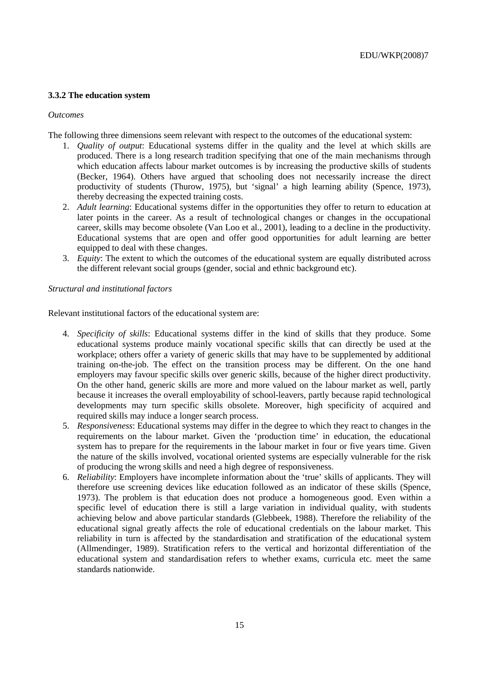## **3.3.2 The education system**

### *Outcomes*

The following three dimensions seem relevant with respect to the outcomes of the educational system:

- 1. *Quality of output*: Educational systems differ in the quality and the level at which skills are produced. There is a long research tradition specifying that one of the main mechanisms through which education affects labour market outcomes is by increasing the productive skills of students (Becker, 1964). Others have argued that schooling does not necessarily increase the direct productivity of students (Thurow, 1975), but 'signal' a high learning ability (Spence, 1973), thereby decreasing the expected training costs.
- 2. *Adult learning*: Educational systems differ in the opportunities they offer to return to education at later points in the career. As a result of technological changes or changes in the occupational career, skills may become obsolete (Van Loo et al., 2001), leading to a decline in the productivity. Educational systems that are open and offer good opportunities for adult learning are better equipped to deal with these changes.
- 3. *Equity*: The extent to which the outcomes of the educational system are equally distributed across the different relevant social groups (gender, social and ethnic background etc).

## *Structural and institutional factors*

Relevant institutional factors of the educational system are:

- 4. *Specificity of skills*: Educational systems differ in the kind of skills that they produce. Some educational systems produce mainly vocational specific skills that can directly be used at the workplace; others offer a variety of generic skills that may have to be supplemented by additional training on-the-job. The effect on the transition process may be different. On the one hand employers may favour specific skills over generic skills, because of the higher direct productivity. On the other hand, generic skills are more and more valued on the labour market as well, partly because it increases the overall employability of school-leavers, partly because rapid technological developments may turn specific skills obsolete. Moreover, high specificity of acquired and required skills may induce a longer search process.
- 5. *Responsiveness*: Educational systems may differ in the degree to which they react to changes in the requirements on the labour market. Given the 'production time' in education, the educational system has to prepare for the requirements in the labour market in four or five years time. Given the nature of the skills involved, vocational oriented systems are especially vulnerable for the risk of producing the wrong skills and need a high degree of responsiveness.
- 6. *Reliability*: Employers have incomplete information about the 'true' skills of applicants. They will therefore use screening devices like education followed as an indicator of these skills (Spence, 1973). The problem is that education does not produce a homogeneous good. Even within a specific level of education there is still a large variation in individual quality, with students achieving below and above particular standards (Glebbeek, 1988). Therefore the reliability of the educational signal greatly affects the role of educational credentials on the labour market. This reliability in turn is affected by the standardisation and stratification of the educational system (Allmendinger, 1989). Stratification refers to the vertical and horizontal differentiation of the educational system and standardisation refers to whether exams, curricula etc. meet the same standards nationwide.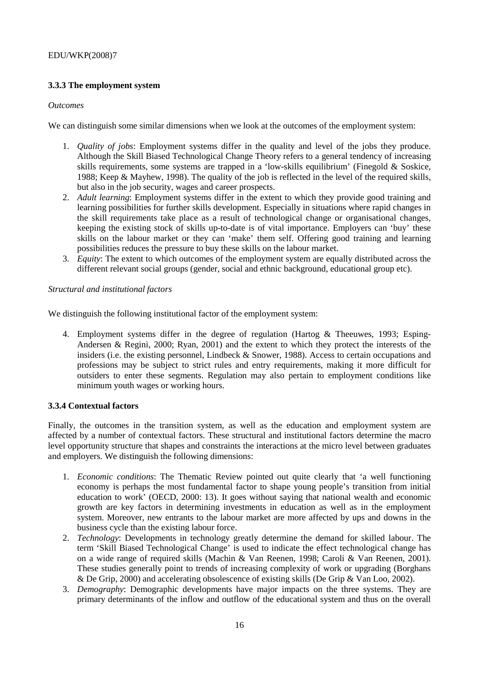## **3.3.3 The employment system**

#### *Outcomes*

We can distinguish some similar dimensions when we look at the outcomes of the employment system:

- 1. *Quality of jobs*: Employment systems differ in the quality and level of the jobs they produce. Although the Skill Biased Technological Change Theory refers to a general tendency of increasing skills requirements, some systems are trapped in a 'low-skills equilibrium' (Finegold & Soskice, 1988; Keep & Mayhew, 1998). The quality of the job is reflected in the level of the required skills, but also in the job security, wages and career prospects.
- 2. *Adult learning*: Employment systems differ in the extent to which they provide good training and learning possibilities for further skills development. Especially in situations where rapid changes in the skill requirements take place as a result of technological change or organisational changes, keeping the existing stock of skills up-to-date is of vital importance. Employers can 'buy' these skills on the labour market or they can 'make' them self. Offering good training and learning possibilities reduces the pressure to buy these skills on the labour market.
- 3. *Equity*: The extent to which outcomes of the employment system are equally distributed across the different relevant social groups (gender, social and ethnic background, educational group etc).

#### *Structural and institutional factors*

We distinguish the following institutional factor of the employment system:

4. Employment systems differ in the degree of regulation (Hartog & Theeuwes, 1993; Esping-Andersen & Regini, 2000; Ryan, 2001) and the extent to which they protect the interests of the insiders (i.e. the existing personnel, Lindbeck & Snower, 1988). Access to certain occupations and professions may be subject to strict rules and entry requirements, making it more difficult for outsiders to enter these segments. Regulation may also pertain to employment conditions like minimum youth wages or working hours.

## **3.3.4 Contextual factors**

Finally, the outcomes in the transition system, as well as the education and employment system are affected by a number of contextual factors. These structural and institutional factors determine the macro level opportunity structure that shapes and constraints the interactions at the micro level between graduates and employers. We distinguish the following dimensions:

- 1. *Economic conditions*: The Thematic Review pointed out quite clearly that 'a well functioning economy is perhaps the most fundamental factor to shape young people's transition from initial education to work' (OECD, 2000: 13). It goes without saying that national wealth and economic growth are key factors in determining investments in education as well as in the employment system. Moreover, new entrants to the labour market are more affected by ups and downs in the business cycle than the existing labour force.
- 2. *Technology*: Developments in technology greatly determine the demand for skilled labour. The term 'Skill Biased Technological Change' is used to indicate the effect technological change has on a wide range of required skills (Machin & Van Reenen, 1998; Caroli & Van Reenen, 2001). These studies generally point to trends of increasing complexity of work or upgrading (Borghans & De Grip, 2000) and accelerating obsolescence of existing skills (De Grip & Van Loo, 2002).
- 3. *Demography*: Demographic developments have major impacts on the three systems. They are primary determinants of the inflow and outflow of the educational system and thus on the overall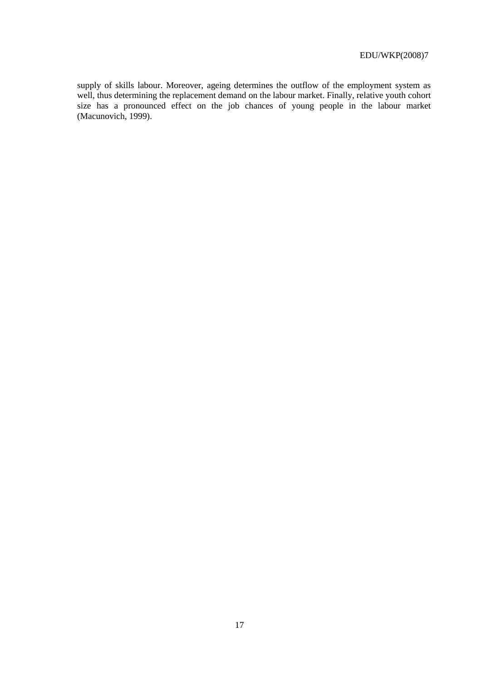supply of skills labour. Moreover, ageing determines the outflow of the employment system as well, thus determining the replacement demand on the labour market. Finally, relative youth cohort size has a pronounced effect on the job chances of young people in the labour market (Macunovich, 1999).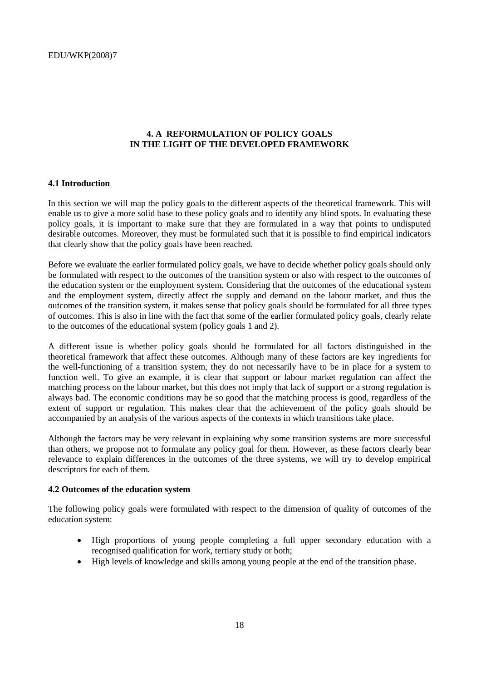## **4. A REFORMULATION OF POLICY GOALS IN THE LIGHT OF THE DEVELOPED FRAMEWORK**

#### **4.1 Introduction**

In this section we will map the policy goals to the different aspects of the theoretical framework. This will enable us to give a more solid base to these policy goals and to identify any blind spots. In evaluating these policy goals, it is important to make sure that they are formulated in a way that points to undisputed desirable outcomes. Moreover, they must be formulated such that it is possible to find empirical indicators that clearly show that the policy goals have been reached.

Before we evaluate the earlier formulated policy goals, we have to decide whether policy goals should only be formulated with respect to the outcomes of the transition system or also with respect to the outcomes of the education system or the employment system. Considering that the outcomes of the educational system and the employment system, directly affect the supply and demand on the labour market, and thus the outcomes of the transition system, it makes sense that policy goals should be formulated for all three types of outcomes. This is also in line with the fact that some of the earlier formulated policy goals, clearly relate to the outcomes of the educational system (policy goals 1 and 2).

A different issue is whether policy goals should be formulated for all factors distinguished in the theoretical framework that affect these outcomes. Although many of these factors are key ingredients for the well-functioning of a transition system, they do not necessarily have to be in place for a system to function well. To give an example, it is clear that support or labour market regulation can affect the matching process on the labour market, but this does not imply that lack of support or a strong regulation is always bad. The economic conditions may be so good that the matching process is good, regardless of the extent of support or regulation. This makes clear that the achievement of the policy goals should be accompanied by an analysis of the various aspects of the contexts in which transitions take place.

Although the factors may be very relevant in explaining why some transition systems are more successful than others, we propose not to formulate any policy goal for them. However, as these factors clearly bear relevance to explain differences in the outcomes of the three systems, we will try to develop empirical descriptors for each of them.

#### **4.2 Outcomes of the education system**

The following policy goals were formulated with respect to the dimension of quality of outcomes of the education system:

- High proportions of young people completing a full upper secondary education with a recognised qualification for work, tertiary study or both;
- High levels of knowledge and skills among young people at the end of the transition phase.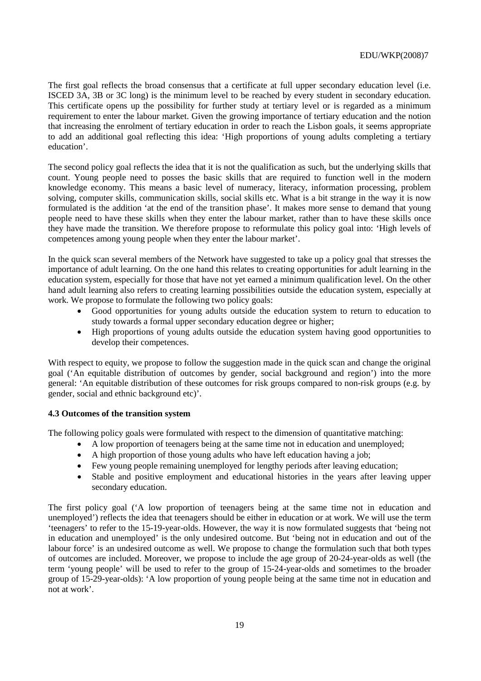The first goal reflects the broad consensus that a certificate at full upper secondary education level (i.e. ISCED 3A, 3B or 3C long) is the minimum level to be reached by every student in secondary education. This certificate opens up the possibility for further study at tertiary level or is regarded as a minimum requirement to enter the labour market. Given the growing importance of tertiary education and the notion that increasing the enrolment of tertiary education in order to reach the Lisbon goals, it seems appropriate to add an additional goal reflecting this idea: 'High proportions of young adults completing a tertiary education'.

The second policy goal reflects the idea that it is not the qualification as such, but the underlying skills that count. Young people need to posses the basic skills that are required to function well in the modern knowledge economy. This means a basic level of numeracy, literacy, information processing, problem solving, computer skills, communication skills, social skills etc. What is a bit strange in the way it is now formulated is the addition 'at the end of the transition phase'. It makes more sense to demand that young people need to have these skills when they enter the labour market, rather than to have these skills once they have made the transition. We therefore propose to reformulate this policy goal into: 'High levels of competences among young people when they enter the labour market'.

In the quick scan several members of the Network have suggested to take up a policy goal that stresses the importance of adult learning. On the one hand this relates to creating opportunities for adult learning in the education system, especially for those that have not yet earned a minimum qualification level. On the other hand adult learning also refers to creating learning possibilities outside the education system, especially at work. We propose to formulate the following two policy goals:

- Good opportunities for young adults outside the education system to return to education to study towards a formal upper secondary education degree or higher;
- High proportions of young adults outside the education system having good opportunities to develop their competences.

With respect to equity, we propose to follow the suggestion made in the quick scan and change the original goal ('An equitable distribution of outcomes by gender, social background and region') into the more general: 'An equitable distribution of these outcomes for risk groups compared to non-risk groups (e.g. by gender, social and ethnic background etc)'.

## **4.3 Outcomes of the transition system**

The following policy goals were formulated with respect to the dimension of quantitative matching:

- A low proportion of teenagers being at the same time not in education and unemployed;
- A high proportion of those young adults who have left education having a job;
- Few young people remaining unemployed for lengthy periods after leaving education;
- Stable and positive employment and educational histories in the years after leaving upper secondary education.

The first policy goal ('A low proportion of teenagers being at the same time not in education and unemployed') reflects the idea that teenagers should be either in education or at work. We will use the term 'teenagers' to refer to the 15-19-year-olds. However, the way it is now formulated suggests that 'being not in education and unemployed' is the only undesired outcome. But 'being not in education and out of the labour force' is an undesired outcome as well. We propose to change the formulation such that both types of outcomes are included. Moreover, we propose to include the age group of 20-24-year-olds as well (the term 'young people' will be used to refer to the group of 15-24-year-olds and sometimes to the broader group of 15-29-year-olds): 'A low proportion of young people being at the same time not in education and not at work'.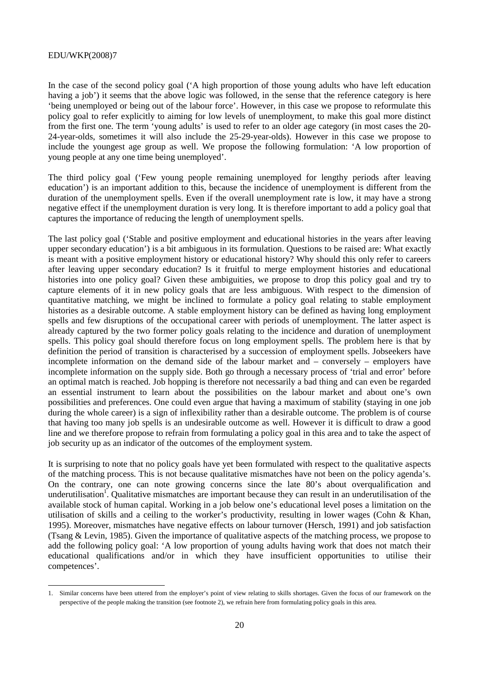In the case of the second policy goal ('A high proportion of those young adults who have left education having a job') it seems that the above logic was followed, in the sense that the reference category is here 'being unemployed or being out of the labour force'. However, in this case we propose to reformulate this policy goal to refer explicitly to aiming for low levels of unemployment, to make this goal more distinct from the first one. The term 'young adults' is used to refer to an older age category (in most cases the 20- 24-year-olds, sometimes it will also include the 25-29-year-olds). However in this case we propose to include the youngest age group as well. We propose the following formulation: 'A low proportion of young people at any one time being unemployed'.

The third policy goal ('Few young people remaining unemployed for lengthy periods after leaving education') is an important addition to this, because the incidence of unemployment is different from the duration of the unemployment spells. Even if the overall unemployment rate is low, it may have a strong negative effect if the unemployment duration is very long. It is therefore important to add a policy goal that captures the importance of reducing the length of unemployment spells.

The last policy goal ('Stable and positive employment and educational histories in the years after leaving upper secondary education') is a bit ambiguous in its formulation. Questions to be raised are: What exactly is meant with a positive employment history or educational history? Why should this only refer to careers after leaving upper secondary education? Is it fruitful to merge employment histories and educational histories into one policy goal? Given these ambiguities, we propose to drop this policy goal and try to capture elements of it in new policy goals that are less ambiguous. With respect to the dimension of quantitative matching, we might be inclined to formulate a policy goal relating to stable employment histories as a desirable outcome. A stable employment history can be defined as having long employment spells and few disruptions of the occupational career with periods of unemployment. The latter aspect is already captured by the two former policy goals relating to the incidence and duration of unemployment spells. This policy goal should therefore focus on long employment spells. The problem here is that by definition the period of transition is characterised by a succession of employment spells. Jobseekers have incomplete information on the demand side of the labour market and – conversely – employers have incomplete information on the supply side. Both go through a necessary process of 'trial and error' before an optimal match is reached. Job hopping is therefore not necessarily a bad thing and can even be regarded an essential instrument to learn about the possibilities on the labour market and about one's own possibilities and preferences. One could even argue that having a maximum of stability (staying in one job during the whole career) is a sign of inflexibility rather than a desirable outcome. The problem is of course that having too many job spells is an undesirable outcome as well. However it is difficult to draw a good line and we therefore propose to refrain from formulating a policy goal in this area and to take the aspect of job security up as an indicator of the outcomes of the employment system.

It is surprising to note that no policy goals have yet been formulated with respect to the qualitative aspects of the matching process. This is not because qualitative mismatches have not been on the policy agenda's. On the contrary, one can note growing concerns since the late 80's about overqualification and underutilisation<sup>1</sup>. Qualitative mismatches are important because they can result in an underutilisation of the available stock of human capital. Working in a job below one's educational level poses a limitation on the utilisation of skills and a ceiling to the worker's productivity, resulting in lower wages (Cohn & Khan, 1995). Moreover, mismatches have negative effects on labour turnover (Hersch, 1991) and job satisfaction (Tsang & Levin, 1985). Given the importance of qualitative aspects of the matching process, we propose to add the following policy goal: 'A low proportion of young adults having work that does not match their educational qualifications and/or in which they have insufficient opportunities to utilise their competences'.

<sup>1.</sup> Similar concerns have been uttered from the employer's point of view relating to skills shortages. Given the focus of our framework on the perspective of the people making the transition (see footnote 2), we refrain here from formulating policy goals in this area.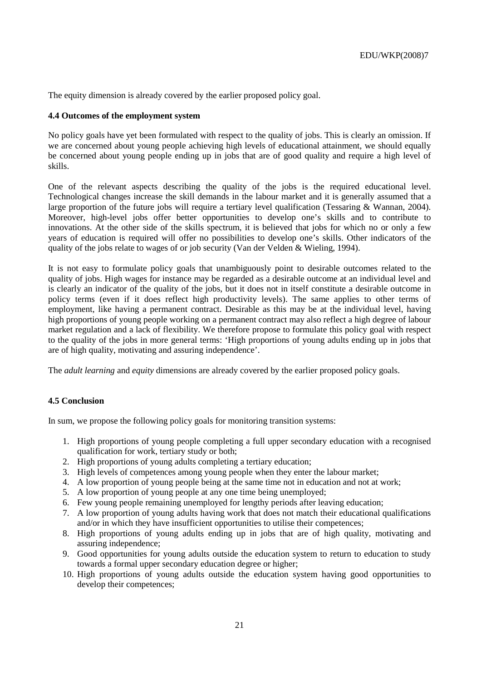The equity dimension is already covered by the earlier proposed policy goal.

### **4.4 Outcomes of the employment system**

No policy goals have yet been formulated with respect to the quality of jobs. This is clearly an omission. If we are concerned about young people achieving high levels of educational attainment, we should equally be concerned about young people ending up in jobs that are of good quality and require a high level of skills.

One of the relevant aspects describing the quality of the jobs is the required educational level. Technological changes increase the skill demands in the labour market and it is generally assumed that a large proportion of the future jobs will require a tertiary level qualification (Tessaring & Wannan, 2004). Moreover, high-level jobs offer better opportunities to develop one's skills and to contribute to innovations. At the other side of the skills spectrum, it is believed that jobs for which no or only a few years of education is required will offer no possibilities to develop one's skills. Other indicators of the quality of the jobs relate to wages of or job security (Van der Velden & Wieling, 1994).

It is not easy to formulate policy goals that unambiguously point to desirable outcomes related to the quality of jobs. High wages for instance may be regarded as a desirable outcome at an individual level and is clearly an indicator of the quality of the jobs, but it does not in itself constitute a desirable outcome in policy terms (even if it does reflect high productivity levels). The same applies to other terms of employment, like having a permanent contract. Desirable as this may be at the individual level, having high proportions of young people working on a permanent contract may also reflect a high degree of labour market regulation and a lack of flexibility. We therefore propose to formulate this policy goal with respect to the quality of the jobs in more general terms: 'High proportions of young adults ending up in jobs that are of high quality, motivating and assuring independence'.

The *adult learning* and *equity* dimensions are already covered by the earlier proposed policy goals.

## **4.5 Conclusion**

In sum, we propose the following policy goals for monitoring transition systems:

- 1. High proportions of young people completing a full upper secondary education with a recognised qualification for work, tertiary study or both;
- 2. High proportions of young adults completing a tertiary education;
- 3. High levels of competences among young people when they enter the labour market;
- 4. A low proportion of young people being at the same time not in education and not at work;
- 5. A low proportion of young people at any one time being unemployed;
- 6. Few young people remaining unemployed for lengthy periods after leaving education;
- 7. A low proportion of young adults having work that does not match their educational qualifications and/or in which they have insufficient opportunities to utilise their competences;
- 8. High proportions of young adults ending up in jobs that are of high quality, motivating and assuring independence;
- 9. Good opportunities for young adults outside the education system to return to education to study towards a formal upper secondary education degree or higher;
- 10. High proportions of young adults outside the education system having good opportunities to develop their competences;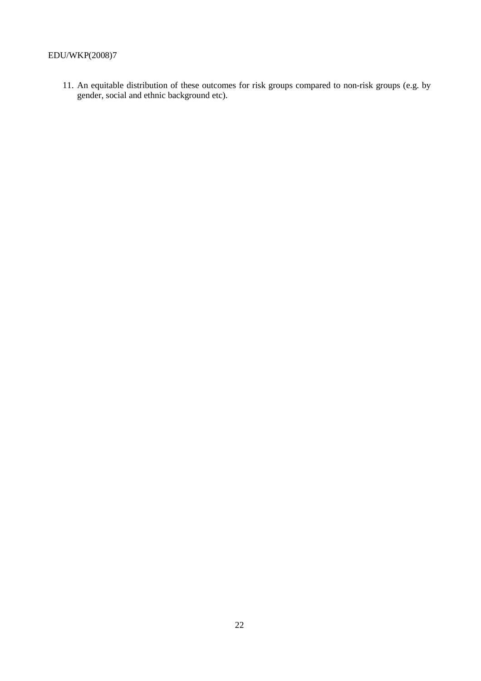11. An equitable distribution of these outcomes for risk groups compared to non-risk groups (e.g. by gender, social and ethnic background etc).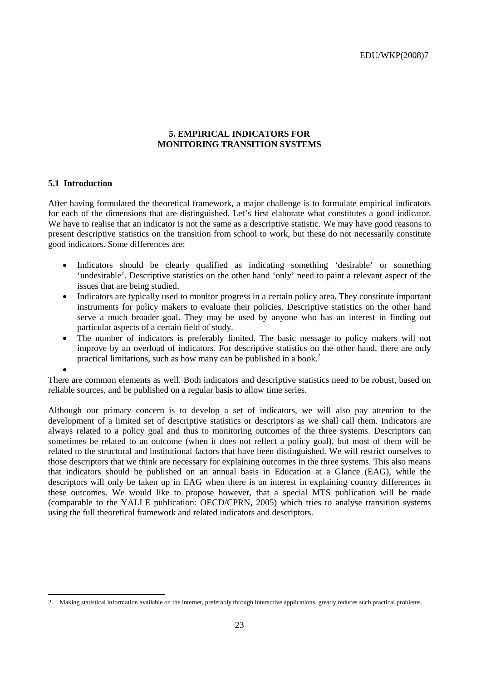#### **5. EMPIRICAL INDICATORS FOR MONITORING TRANSITION SYSTEMS**

#### **5.1 Introduction**

•

After having formulated the theoretical framework, a major challenge is to formulate empirical indicators for each of the dimensions that are distinguished. Let's first elaborate what constitutes a good indicator. We have to realise that an indicator is not the same as a descriptive statistic. We may have good reasons to present descriptive statistics on the transition from school to work, but these do not necessarily constitute good indicators. Some differences are:

- Indicators should be clearly qualified as indicating something 'desirable' or something 'undesirable'. Descriptive statistics on the other hand 'only' need to paint a relevant aspect of the issues that are being studied.
- Indicators are typically used to monitor progress in a certain policy area. They constitute important instruments for policy makers to evaluate their policies. Descriptive statistics on the other hand serve a much broader goal. They may be used by anyone who has an interest in finding out particular aspects of a certain field of study.
- The number of indicators is preferably limited. The basic message to policy makers will not improve by an overload of indicators. For descriptive statistics on the other hand, there are only practical limitations, such as how many can be published in a book.<sup>2</sup>

There are common elements as well. Both indicators and descriptive statistics need to be robust, based on reliable sources, and be published on a regular basis to allow time series.

Although our primary concern is to develop a set of indicators, we will also pay attention to the development of a limited set of descriptive statistics or descriptors as we shall call them. Indicators are always related to a policy goal and thus to monitoring outcomes of the three systems. Descriptors can sometimes be related to an outcome (when it does not reflect a policy goal), but most of them will be related to the structural and institutional factors that have been distinguished. We will restrict ourselves to those descriptors that we think are necessary for explaining outcomes in the three systems. This also means that indicators should be published on an annual basis in Education at a Glance (EAG), while the descriptors will only be taken up in EAG when there is an interest in explaining country differences in these outcomes. We would like to propose however, that a special MTS publication will be made (comparable to the YALLE publication: OECD/CPRN, 2005) which tries to analyse transition systems using the full theoretical framework and related indicators and descriptors.

<sup>2.</sup> Making statistical information available on the internet, preferably through interactive applications, greatly reduces such practical problems.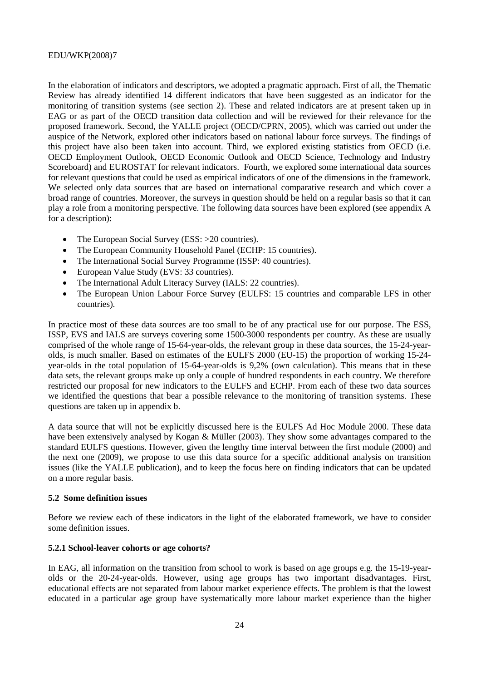In the elaboration of indicators and descriptors, we adopted a pragmatic approach. First of all, the Thematic Review has already identified 14 different indicators that have been suggested as an indicator for the monitoring of transition systems (see section 2). These and related indicators are at present taken up in EAG or as part of the OECD transition data collection and will be reviewed for their relevance for the proposed framework. Second, the YALLE project (OECD/CPRN, 2005), which was carried out under the auspice of the Network, explored other indicators based on national labour force surveys. The findings of this project have also been taken into account. Third, we explored existing statistics from OECD (i.e. OECD Employment Outlook, OECD Economic Outlook and OECD Science, Technology and Industry Scoreboard) and EUROSTAT for relevant indicators. Fourth, we explored some international data sources for relevant questions that could be used as empirical indicators of one of the dimensions in the framework. We selected only data sources that are based on international comparative research and which cover a broad range of countries. Moreover, the surveys in question should be held on a regular basis so that it can play a role from a monitoring perspective. The following data sources have been explored (see appendix A for a description):

- The European Social Survey (ESS: >20 countries).
- The European Community Household Panel (ECHP: 15 countries).
- The International Social Survey Programme (ISSP: 40 countries).
- European Value Study (EVS: 33 countries).
- The International Adult Literacy Survey (IALS: 22 countries).
- The European Union Labour Force Survey (EULFS: 15 countries and comparable LFS in other countries).

In practice most of these data sources are too small to be of any practical use for our purpose. The ESS, ISSP, EVS and IALS are surveys covering some 1500-3000 respondents per country. As these are usually comprised of the whole range of 15-64-year-olds, the relevant group in these data sources, the 15-24-yearolds, is much smaller. Based on estimates of the EULFS 2000 (EU-15) the proportion of working 15-24 year-olds in the total population of 15-64-year-olds is 9,2% (own calculation). This means that in these data sets, the relevant groups make up only a couple of hundred respondents in each country. We therefore restricted our proposal for new indicators to the EULFS and ECHP. From each of these two data sources we identified the questions that bear a possible relevance to the monitoring of transition systems. These questions are taken up in appendix b.

A data source that will not be explicitly discussed here is the EULFS Ad Hoc Module 2000. These data have been extensively analysed by Kogan & Müller (2003). They show some advantages compared to the standard EULFS questions. However, given the lengthy time interval between the first module (2000) and the next one (2009), we propose to use this data source for a specific additional analysis on transition issues (like the YALLE publication), and to keep the focus here on finding indicators that can be updated on a more regular basis.

## **5.2 Some definition issues**

Before we review each of these indicators in the light of the elaborated framework, we have to consider some definition issues.

#### **5.2.1 School-leaver cohorts or age cohorts?**

In EAG, all information on the transition from school to work is based on age groups e.g. the 15-19-yearolds or the 20-24-year-olds. However, using age groups has two important disadvantages. First, educational effects are not separated from labour market experience effects. The problem is that the lowest educated in a particular age group have systematically more labour market experience than the higher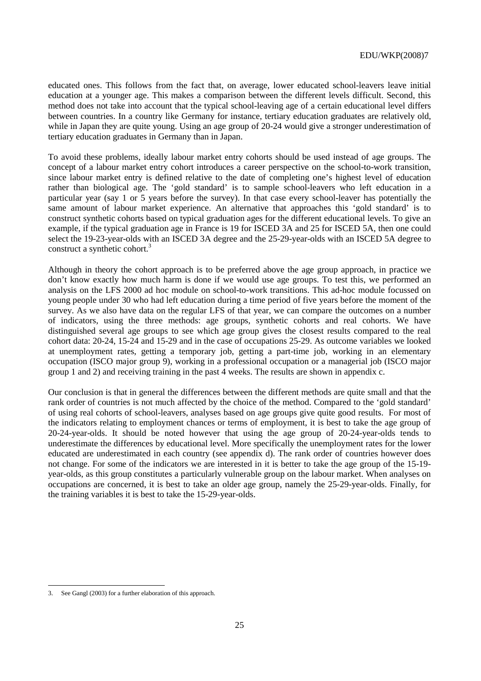educated ones. This follows from the fact that, on average, lower educated school-leavers leave initial education at a younger age. This makes a comparison between the different levels difficult. Second, this method does not take into account that the typical school-leaving age of a certain educational level differs between countries. In a country like Germany for instance, tertiary education graduates are relatively old, while in Japan they are quite young. Using an age group of 20-24 would give a stronger underestimation of tertiary education graduates in Germany than in Japan.

To avoid these problems, ideally labour market entry cohorts should be used instead of age groups. The concept of a labour market entry cohort introduces a career perspective on the school-to-work transition, since labour market entry is defined relative to the date of completing one's highest level of education rather than biological age. The 'gold standard' is to sample school-leavers who left education in a particular year (say 1 or 5 years before the survey). In that case every school-leaver has potentially the same amount of labour market experience. An alternative that approaches this 'gold standard' is to construct synthetic cohorts based on typical graduation ages for the different educational levels. To give an example, if the typical graduation age in France is 19 for ISCED 3A and 25 for ISCED 5A, then one could select the 19-23-year-olds with an ISCED 3A degree and the 25-29-year-olds with an ISCED 5A degree to construct a synthetic cohort.<sup>3</sup>

Although in theory the cohort approach is to be preferred above the age group approach, in practice we don't know exactly how much harm is done if we would use age groups. To test this, we performed an analysis on the LFS 2000 ad hoc module on school-to-work transitions. This ad-hoc module focussed on young people under 30 who had left education during a time period of five years before the moment of the survey. As we also have data on the regular LFS of that year, we can compare the outcomes on a number of indicators, using the three methods: age groups, synthetic cohorts and real cohorts. We have distinguished several age groups to see which age group gives the closest results compared to the real cohort data: 20-24, 15-24 and 15-29 and in the case of occupations 25-29. As outcome variables we looked at unemployment rates, getting a temporary job, getting a part-time job, working in an elementary occupation (ISCO major group 9), working in a professional occupation or a managerial job (ISCO major group 1 and 2) and receiving training in the past 4 weeks. The results are shown in appendix c.

Our conclusion is that in general the differences between the different methods are quite small and that the rank order of countries is not much affected by the choice of the method. Compared to the 'gold standard' of using real cohorts of school-leavers, analyses based on age groups give quite good results. For most of the indicators relating to employment chances or terms of employment, it is best to take the age group of 20-24-year-olds. It should be noted however that using the age group of 20-24-year-olds tends to underestimate the differences by educational level. More specifically the unemployment rates for the lower educated are underestimated in each country (see appendix d). The rank order of countries however does not change. For some of the indicators we are interested in it is better to take the age group of the 15-19 year-olds, as this group constitutes a particularly vulnerable group on the labour market. When analyses on occupations are concerned, it is best to take an older age group, namely the 25-29-year-olds. Finally, for the training variables it is best to take the 15-29-year-olds.

 $\overline{a}$ 

<sup>3.</sup> See Gangl (2003) for a further elaboration of this approach.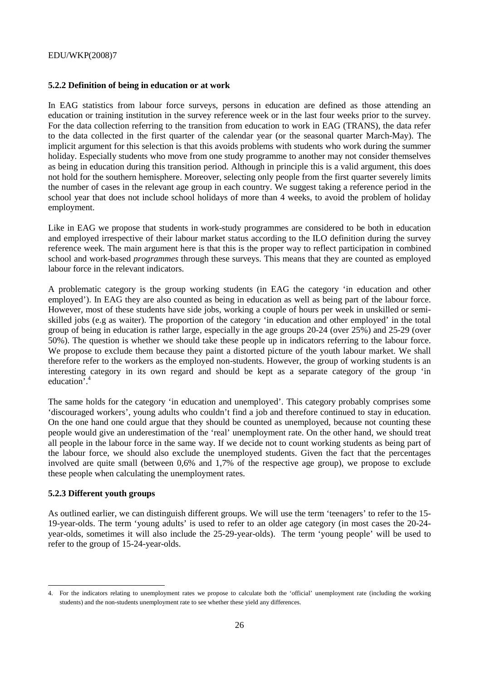#### **5.2.2 Definition of being in education or at work**

In EAG statistics from labour force surveys, persons in education are defined as those attending an education or training institution in the survey reference week or in the last four weeks prior to the survey. For the data collection referring to the transition from education to work in EAG (TRANS), the data refer to the data collected in the first quarter of the calendar year (or the seasonal quarter March-May). The implicit argument for this selection is that this avoids problems with students who work during the summer holiday. Especially students who move from one study programme to another may not consider themselves as being in education during this transition period. Although in principle this is a valid argument, this does not hold for the southern hemisphere. Moreover, selecting only people from the first quarter severely limits the number of cases in the relevant age group in each country. We suggest taking a reference period in the school year that does not include school holidays of more than 4 weeks, to avoid the problem of holiday employment.

Like in EAG we propose that students in work-study programmes are considered to be both in education and employed irrespective of their labour market status according to the ILO definition during the survey reference week. The main argument here is that this is the proper way to reflect participation in combined school and work-based *programmes* through these surveys. This means that they are counted as employed labour force in the relevant indicators.

A problematic category is the group working students (in EAG the category 'in education and other employed'). In EAG they are also counted as being in education as well as being part of the labour force. However, most of these students have side jobs, working a couple of hours per week in unskilled or semiskilled jobs (e.g as waiter). The proportion of the category 'in education and other employed' in the total group of being in education is rather large, especially in the age groups 20-24 (over 25%) and 25-29 (over 50%). The question is whether we should take these people up in indicators referring to the labour force. We propose to exclude them because they paint a distorted picture of the youth labour market. We shall therefore refer to the workers as the employed non-students. However, the group of working students is an interesting category in its own regard and should be kept as a separate category of the group 'in education<sup>7.4</sup>

The same holds for the category 'in education and unemployed'. This category probably comprises some 'discouraged workers', young adults who couldn't find a job and therefore continued to stay in education. On the one hand one could argue that they should be counted as unemployed, because not counting these people would give an underestimation of the 'real' unemployment rate. On the other hand, we should treat all people in the labour force in the same way. If we decide not to count working students as being part of the labour force, we should also exclude the unemployed students. Given the fact that the percentages involved are quite small (between 0,6% and 1,7% of the respective age group), we propose to exclude these people when calculating the unemployment rates.

#### **5.2.3 Different youth groups**

As outlined earlier, we can distinguish different groups. We will use the term 'teenagers' to refer to the 15- 19-year-olds. The term 'young adults' is used to refer to an older age category (in most cases the 20-24 year-olds, sometimes it will also include the 25-29-year-olds). The term 'young people' will be used to refer to the group of 15-24-year-olds.

<sup>4.</sup> For the indicators relating to unemployment rates we propose to calculate both the 'official' unemployment rate (including the working students) and the non-students unemployment rate to see whether these yield any differences.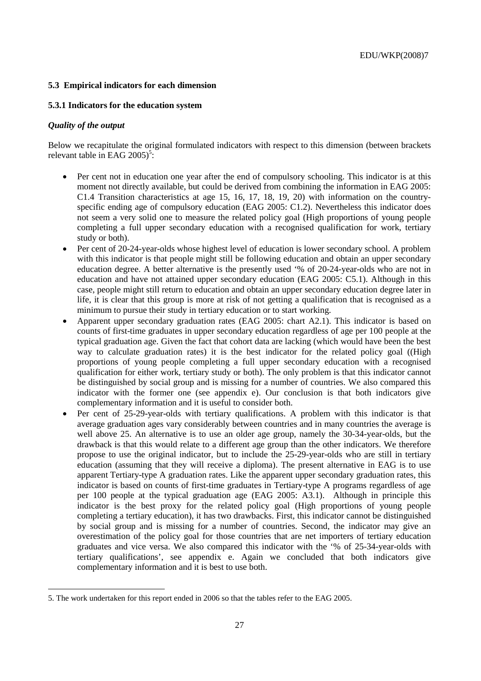## **5.3 Empirical indicators for each dimension**

## **5.3.1 Indicators for the education system**

## *Quality of the output*

Below we recapitulate the original formulated indicators with respect to this dimension (between brackets relevant table in EAG  $2005$ <sup>5</sup>:

- Per cent not in education one year after the end of compulsory schooling. This indicator is at this moment not directly available, but could be derived from combining the information in EAG 2005: C1.4 Transition characteristics at age 15, 16, 17, 18, 19, 20) with information on the countryspecific ending age of compulsory education (EAG 2005: C1.2). Nevertheless this indicator does not seem a very solid one to measure the related policy goal (High proportions of young people completing a full upper secondary education with a recognised qualification for work, tertiary study or both).
- Per cent of 20-24-year-olds whose highest level of education is lower secondary school. A problem with this indicator is that people might still be following education and obtain an upper secondary education degree. A better alternative is the presently used '% of 20-24-year-olds who are not in education and have not attained upper secondary education (EAG 2005: C5.1). Although in this case, people might still return to education and obtain an upper secondary education degree later in life, it is clear that this group is more at risk of not getting a qualification that is recognised as a minimum to pursue their study in tertiary education or to start working.
- Apparent upper secondary graduation rates (EAG 2005: chart A2.1). This indicator is based on counts of first-time graduates in upper secondary education regardless of age per 100 people at the typical graduation age. Given the fact that cohort data are lacking (which would have been the best way to calculate graduation rates) it is the best indicator for the related policy goal ((High proportions of young people completing a full upper secondary education with a recognised qualification for either work, tertiary study or both). The only problem is that this indicator cannot be distinguished by social group and is missing for a number of countries. We also compared this indicator with the former one (see appendix  $e$ ). Our conclusion is that both indicators give complementary information and it is useful to consider both.
- Per cent of 25-29-year-olds with tertiary qualifications. A problem with this indicator is that average graduation ages vary considerably between countries and in many countries the average is well above 25. An alternative is to use an older age group, namely the 30-34-year-olds, but the drawback is that this would relate to a different age group than the other indicators. We therefore propose to use the original indicator, but to include the 25-29-year-olds who are still in tertiary education (assuming that they will receive a diploma). The present alternative in EAG is to use apparent Tertiary-type A graduation rates. Like the apparent upper secondary graduation rates, this indicator is based on counts of first-time graduates in Tertiary-type A programs regardless of age per 100 people at the typical graduation age (EAG 2005: A3.1). Although in principle this indicator is the best proxy for the related policy goal (High proportions of young people completing a tertiary education), it has two drawbacks. First, this indicator cannot be distinguished by social group and is missing for a number of countries. Second, the indicator may give an overestimation of the policy goal for those countries that are net importers of tertiary education graduates and vice versa. We also compared this indicator with the '% of 25-34-year-olds with tertiary qualifications', see appendix e. Again we concluded that both indicators give complementary information and it is best to use both.

<sup>5.</sup> The work undertaken for this report ended in 2006 so that the tables refer to the EAG 2005.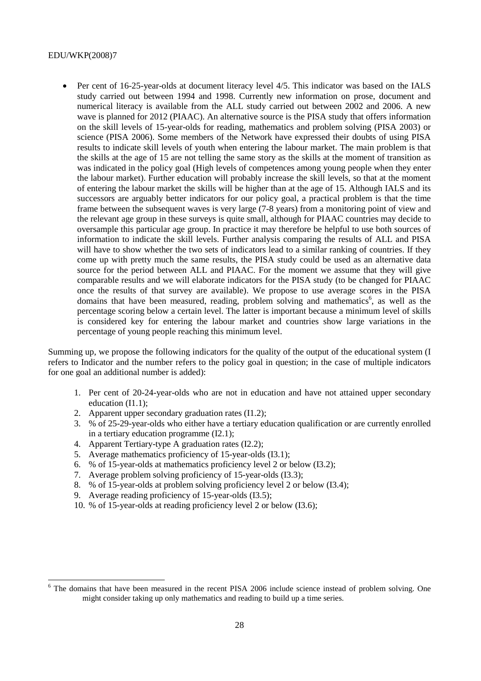• Per cent of 16-25-year-olds at document literacy level 4/5. This indicator was based on the IALS study carried out between 1994 and 1998. Currently new information on prose, document and numerical literacy is available from the ALL study carried out between 2002 and 2006. A new wave is planned for 2012 (PIAAC). An alternative source is the PISA study that offers information on the skill levels of 15-year-olds for reading, mathematics and problem solving (PISA 2003) or science (PISA 2006). Some members of the Network have expressed their doubts of using PISA results to indicate skill levels of youth when entering the labour market. The main problem is that the skills at the age of 15 are not telling the same story as the skills at the moment of transition as was indicated in the policy goal (High levels of competences among young people when they enter the labour market). Further education will probably increase the skill levels, so that at the moment of entering the labour market the skills will be higher than at the age of 15. Although IALS and its successors are arguably better indicators for our policy goal, a practical problem is that the time frame between the subsequent waves is very large (7-8 years) from a monitoring point of view and the relevant age group in these surveys is quite small, although for PIAAC countries may decide to oversample this particular age group. In practice it may therefore be helpful to use both sources of information to indicate the skill levels. Further analysis comparing the results of ALL and PISA will have to show whether the two sets of indicators lead to a similar ranking of countries. If they come up with pretty much the same results, the PISA study could be used as an alternative data source for the period between ALL and PIAAC. For the moment we assume that they will give comparable results and we will elaborate indicators for the PISA study (to be changed for PIAAC once the results of that survey are available). We propose to use average scores in the PISA domains that have been measured, reading, problem solving and mathematics<sup>6</sup>, as well as the percentage scoring below a certain level. The latter is important because a minimum level of skills is considered key for entering the labour market and countries show large variations in the percentage of young people reaching this minimum level.

Summing up, we propose the following indicators for the quality of the output of the educational system (I refers to Indicator and the number refers to the policy goal in question; in the case of multiple indicators for one goal an additional number is added):

- 1. Per cent of 20-24-year-olds who are not in education and have not attained upper secondary education (I1.1);
- 2. Apparent upper secondary graduation rates (I1.2);
- 3. % of 25-29-year-olds who either have a tertiary education qualification or are currently enrolled in a tertiary education programme (I2.1);
- 4. Apparent Tertiary-type A graduation rates (I2.2);
- 5. Average mathematics proficiency of 15-year-olds (I3.1);
- 6. % of 15-year-olds at mathematics proficiency level 2 or below (I3.2);
- 7. Average problem solving proficiency of 15-year-olds (I3.3);
- 8. % of 15-year-olds at problem solving proficiency level 2 or below (I3.4);
- 9. Average reading proficiency of 15-year-olds (I3.5);
- 10. % of 15-year-olds at reading proficiency level 2 or below (I3.6);

<sup>6</sup> The domains that have been measured in the recent PISA 2006 include science instead of problem solving. One might consider taking up only mathematics and reading to build up a time series.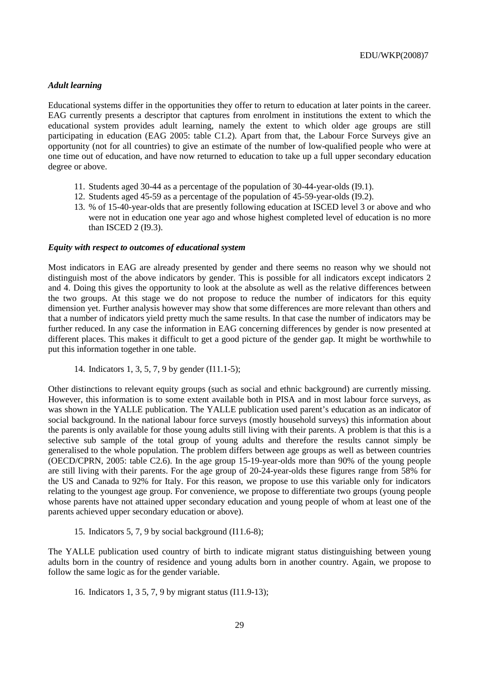#### *Adult learning*

Educational systems differ in the opportunities they offer to return to education at later points in the career. EAG currently presents a descriptor that captures from enrolment in institutions the extent to which the educational system provides adult learning, namely the extent to which older age groups are still participating in education (EAG 2005: table C1.2). Apart from that, the Labour Force Surveys give an opportunity (not for all countries) to give an estimate of the number of low-qualified people who were at one time out of education, and have now returned to education to take up a full upper secondary education degree or above.

- 11. Students aged 30-44 as a percentage of the population of 30-44-year-olds (I9.1).
- 12. Students aged 45-59 as a percentage of the population of 45-59-year-olds (I9.2).
- 13. % of 15-40-year-olds that are presently following education at ISCED level 3 or above and who were not in education one year ago and whose highest completed level of education is no more than ISCED 2 (I9.3).

#### *Equity with respect to outcomes of educational system*

Most indicators in EAG are already presented by gender and there seems no reason why we should not distinguish most of the above indicators by gender. This is possible for all indicators except indicators 2 and 4. Doing this gives the opportunity to look at the absolute as well as the relative differences between the two groups. At this stage we do not propose to reduce the number of indicators for this equity dimension yet. Further analysis however may show that some differences are more relevant than others and that a number of indicators yield pretty much the same results. In that case the number of indicators may be further reduced. In any case the information in EAG concerning differences by gender is now presented at different places. This makes it difficult to get a good picture of the gender gap. It might be worthwhile to put this information together in one table.

14. Indicators 1, 3, 5, 7, 9 by gender (I11.1-5);

Other distinctions to relevant equity groups (such as social and ethnic background) are currently missing. However, this information is to some extent available both in PISA and in most labour force surveys, as was shown in the YALLE publication. The YALLE publication used parent's education as an indicator of social background. In the national labour force surveys (mostly household surveys) this information about the parents is only available for those young adults still living with their parents. A problem is that this is a selective sub sample of the total group of young adults and therefore the results cannot simply be generalised to the whole population. The problem differs between age groups as well as between countries (OECD/CPRN, 2005: table C2.6). In the age group 15-19-year-olds more than 90% of the young people are still living with their parents. For the age group of 20-24-year-olds these figures range from 58% for the US and Canada to 92% for Italy. For this reason, we propose to use this variable only for indicators relating to the youngest age group. For convenience, we propose to differentiate two groups (young people whose parents have not attained upper secondary education and young people of whom at least one of the parents achieved upper secondary education or above).

15. Indicators 5, 7, 9 by social background (I11.6-8);

The YALLE publication used country of birth to indicate migrant status distinguishing between young adults born in the country of residence and young adults born in another country. Again, we propose to follow the same logic as for the gender variable.

16. Indicators 1, 3 5, 7, 9 by migrant status (I11.9-13);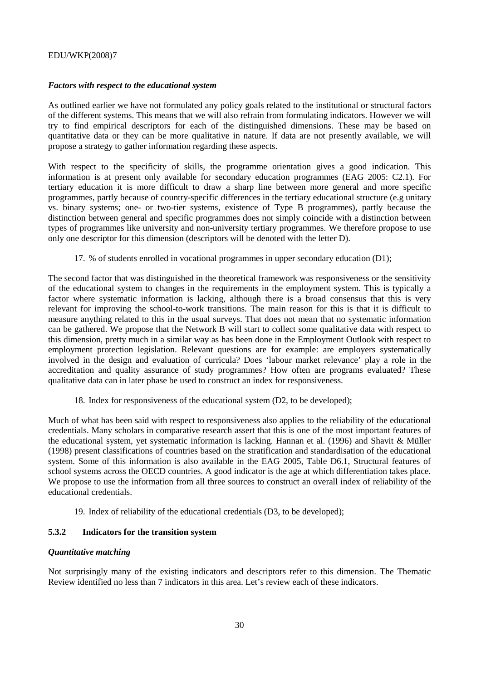## *Factors with respect to the educational system*

As outlined earlier we have not formulated any policy goals related to the institutional or structural factors of the different systems. This means that we will also refrain from formulating indicators. However we will try to find empirical descriptors for each of the distinguished dimensions. These may be based on quantitative data or they can be more qualitative in nature. If data are not presently available, we will propose a strategy to gather information regarding these aspects.

With respect to the specificity of skills, the programme orientation gives a good indication. This information is at present only available for secondary education programmes (EAG 2005: C2.1). For tertiary education it is more difficult to draw a sharp line between more general and more specific programmes, partly because of country-specific differences in the tertiary educational structure (e.g unitary vs. binary systems; one- or two-tier systems, existence of Type B programmes), partly because the distinction between general and specific programmes does not simply coincide with a distinction between types of programmes like university and non-university tertiary programmes. We therefore propose to use only one descriptor for this dimension (descriptors will be denoted with the letter D).

#### 17. % of students enrolled in vocational programmes in upper secondary education (D1);

The second factor that was distinguished in the theoretical framework was responsiveness or the sensitivity of the educational system to changes in the requirements in the employment system. This is typically a factor where systematic information is lacking, although there is a broad consensus that this is very relevant for improving the school-to-work transitions. The main reason for this is that it is difficult to measure anything related to this in the usual surveys. That does not mean that no systematic information can be gathered. We propose that the Network B will start to collect some qualitative data with respect to this dimension, pretty much in a similar way as has been done in the Employment Outlook with respect to employment protection legislation. Relevant questions are for example: are employers systematically involved in the design and evaluation of curricula? Does 'labour market relevance' play a role in the accreditation and quality assurance of study programmes? How often are programs evaluated? These qualitative data can in later phase be used to construct an index for responsiveness.

18. Index for responsiveness of the educational system (D2, to be developed);

Much of what has been said with respect to responsiveness also applies to the reliability of the educational credentials. Many scholars in comparative research assert that this is one of the most important features of the educational system, yet systematic information is lacking. Hannan et al. (1996) and Shavit & Müller (1998) present classifications of countries based on the stratification and standardisation of the educational system. Some of this information is also available in the EAG 2005, Table D6.1, Structural features of school systems across the OECD countries. A good indicator is the age at which differentiation takes place. We propose to use the information from all three sources to construct an overall index of reliability of the educational credentials.

19. Index of reliability of the educational credentials (D3, to be developed);

## **5.3.2 Indicators for the transition system**

## *Quantitative matching*

Not surprisingly many of the existing indicators and descriptors refer to this dimension. The Thematic Review identified no less than 7 indicators in this area. Let's review each of these indicators.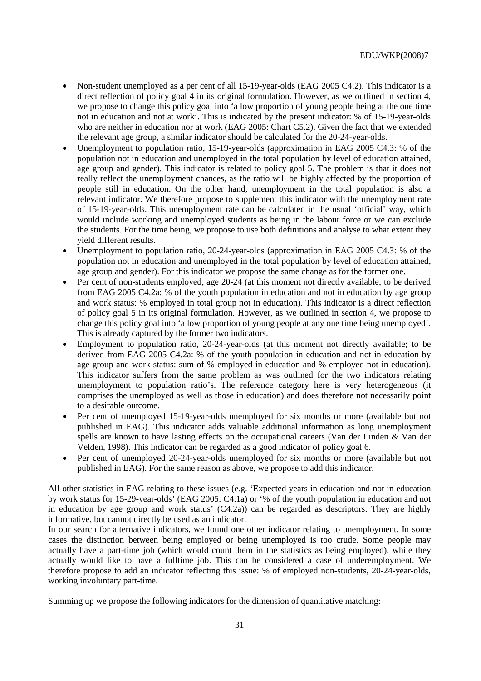- Non-student unemployed as a per cent of all 15-19-year-olds (EAG 2005 C4.2). This indicator is a direct reflection of policy goal 4 in its original formulation. However, as we outlined in section 4, we propose to change this policy goal into 'a low proportion of young people being at the one time not in education and not at work'. This is indicated by the present indicator: % of 15-19-year-olds who are neither in education nor at work (EAG 2005: Chart C5.2). Given the fact that we extended the relevant age group, a similar indicator should be calculated for the 20-24-year-olds.
- Unemployment to population ratio, 15-19-year-olds (approximation in EAG 2005 C4.3: % of the population not in education and unemployed in the total population by level of education attained, age group and gender). This indicator is related to policy goal 5. The problem is that it does not really reflect the unemployment chances, as the ratio will be highly affected by the proportion of people still in education. On the other hand, unemployment in the total population is also a relevant indicator. We therefore propose to supplement this indicator with the unemployment rate of 15-19-year-olds. This unemployment rate can be calculated in the usual 'official' way, which would include working and unemployed students as being in the labour force or we can exclude the students. For the time being, we propose to use both definitions and analyse to what extent they yield different results.
- Unemployment to population ratio, 20-24-year-olds (approximation in EAG 2005 C4.3: % of the population not in education and unemployed in the total population by level of education attained, age group and gender). For this indicator we propose the same change as for the former one.
- Per cent of non-students employed, age 20-24 (at this moment not directly available; to be derived from EAG 2005 C4.2a: % of the youth population in education and not in education by age group and work status: % employed in total group not in education). This indicator is a direct reflection of policy goal 5 in its original formulation. However, as we outlined in section 4, we propose to change this policy goal into 'a low proportion of young people at any one time being unemployed'. This is already captured by the former two indicators.
- Employment to population ratio, 20-24-year-olds (at this moment not directly available; to be derived from EAG 2005 C4.2a: % of the youth population in education and not in education by age group and work status: sum of % employed in education and % employed not in education). This indicator suffers from the same problem as was outlined for the two indicators relating unemployment to population ratio's. The reference category here is very heterogeneous (it comprises the unemployed as well as those in education) and does therefore not necessarily point to a desirable outcome.
- Per cent of unemployed 15-19-year-olds unemployed for six months or more (available but not published in EAG). This indicator adds valuable additional information as long unemployment spells are known to have lasting effects on the occupational careers (Van der Linden & Van der Velden, 1998). This indicator can be regarded as a good indicator of policy goal 6.
- Per cent of unemployed 20-24-year-olds unemployed for six months or more (available but not published in EAG). For the same reason as above, we propose to add this indicator.

All other statistics in EAG relating to these issues (e.g. 'Expected years in education and not in education by work status for 15-29-year-olds' (EAG 2005: C4.1a) or '% of the youth population in education and not in education by age group and work status' (C4.2a)) can be regarded as descriptors. They are highly informative, but cannot directly be used as an indicator.

In our search for alternative indicators, we found one other indicator relating to unemployment. In some cases the distinction between being employed or being unemployed is too crude. Some people may actually have a part-time job (which would count them in the statistics as being employed), while they actually would like to have a fulltime job. This can be considered a case of underemployment. We therefore propose to add an indicator reflecting this issue: % of employed non-students, 20-24-year-olds, working involuntary part-time.

Summing up we propose the following indicators for the dimension of quantitative matching: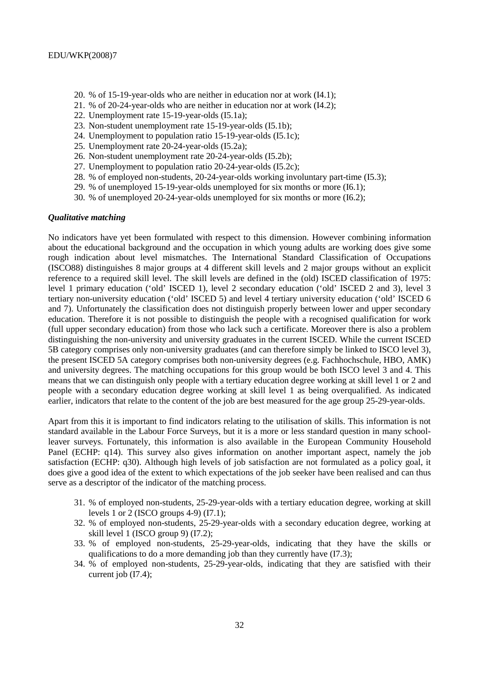- 20. % of 15-19-year-olds who are neither in education nor at work (I4.1);
- 21. % of 20-24-year-olds who are neither in education nor at work (I4.2);
- 22. Unemployment rate 15-19-year-olds (I5.1a);
- 23. Non-student unemployment rate 15-19-year-olds (I5.1b);
- 24. Unemployment to population ratio 15-19-year-olds (I5.1c);
- 25. Unemployment rate 20-24-year-olds (I5.2a);
- 26. Non-student unemployment rate 20-24-year-olds (I5.2b);
- 27. Unemployment to population ratio 20-24-year-olds (I5.2c);
- 28. % of employed non-students, 20-24-year-olds working involuntary part-time (I5.3);
- 29. % of unemployed 15-19-year-olds unemployed for six months or more (I6.1);
- 30. % of unemployed 20-24-year-olds unemployed for six months or more (I6.2);

#### *Qualitative matching*

No indicators have yet been formulated with respect to this dimension. However combining information about the educational background and the occupation in which young adults are working does give some rough indication about level mismatches. The International Standard Classification of Occupations (ISCO88) distinguishes 8 major groups at 4 different skill levels and 2 major groups without an explicit reference to a required skill level. The skill levels are defined in the (old) ISCED classification of 1975: level 1 primary education ('old' ISCED 1), level 2 secondary education ('old' ISCED 2 and 3), level 3 tertiary non-university education ('old' ISCED 5) and level 4 tertiary university education ('old' ISCED 6 and 7). Unfortunately the classification does not distinguish properly between lower and upper secondary education. Therefore it is not possible to distinguish the people with a recognised qualification for work (full upper secondary education) from those who lack such a certificate. Moreover there is also a problem distinguishing the non-university and university graduates in the current ISCED. While the current ISCED 5B category comprises only non-university graduates (and can therefore simply be linked to ISCO level 3), the present ISCED 5A category comprises both non-university degrees (e.g. Fachhochschule, HBO, AMK) and university degrees. The matching occupations for this group would be both ISCO level 3 and 4. This means that we can distinguish only people with a tertiary education degree working at skill level 1 or 2 and people with a secondary education degree working at skill level 1 as being overqualified. As indicated earlier, indicators that relate to the content of the job are best measured for the age group 25-29-year-olds.

Apart from this it is important to find indicators relating to the utilisation of skills. This information is not standard available in the Labour Force Surveys, but it is a more or less standard question in many schoolleaver surveys. Fortunately, this information is also available in the European Community Household Panel (ECHP: q14). This survey also gives information on another important aspect, namely the job satisfaction (ECHP: q30). Although high levels of job satisfaction are not formulated as a policy goal, it does give a good idea of the extent to which expectations of the job seeker have been realised and can thus serve as a descriptor of the indicator of the matching process.

- 31. % of employed non-students, 25-29-year-olds with a tertiary education degree, working at skill levels 1 or 2 (ISCO groups 4-9) (I7.1);
- 32. % of employed non-students, 25-29-year-olds with a secondary education degree, working at skill level 1 (ISCO group 9) (I7.2);
- 33. % of employed non-students, 25-29-year-olds, indicating that they have the skills or qualifications to do a more demanding job than they currently have (I7.3);
- 34. % of employed non-students, 25-29-year-olds, indicating that they are satisfied with their current job (I7.4);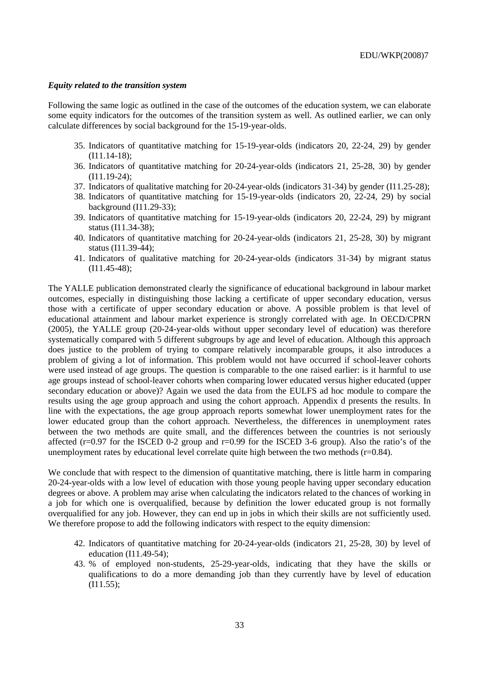#### *Equity related to the transition system*

Following the same logic as outlined in the case of the outcomes of the education system, we can elaborate some equity indicators for the outcomes of the transition system as well. As outlined earlier, we can only calculate differences by social background for the 15-19-year-olds.

- 35. Indicators of quantitative matching for 15-19-year-olds (indicators 20, 22-24, 29) by gender (I11.14-18);
- 36. Indicators of quantitative matching for 20-24-year-olds (indicators 21, 25-28, 30) by gender (I11.19-24);
- 37. Indicators of qualitative matching for 20-24-year-olds (indicators 31-34) by gender (I11.25-28);
- 38. Indicators of quantitative matching for 15-19-year-olds (indicators 20, 22-24, 29) by social background (I11.29-33);
- 39. Indicators of quantitative matching for 15-19-year-olds (indicators 20, 22-24, 29) by migrant status (I11.34-38);
- 40. Indicators of quantitative matching for 20-24-year-olds (indicators 21, 25-28, 30) by migrant status (I11.39-44);
- 41. Indicators of qualitative matching for 20-24-year-olds (indicators 31-34) by migrant status (I11.45-48);

The YALLE publication demonstrated clearly the significance of educational background in labour market outcomes, especially in distinguishing those lacking a certificate of upper secondary education, versus those with a certificate of upper secondary education or above. A possible problem is that level of educational attainment and labour market experience is strongly correlated with age. In OECD/CPRN (2005), the YALLE group (20-24-year-olds without upper secondary level of education) was therefore systematically compared with 5 different subgroups by age and level of education. Although this approach does justice to the problem of trying to compare relatively incomparable groups, it also introduces a problem of giving a lot of information. This problem would not have occurred if school-leaver cohorts were used instead of age groups. The question is comparable to the one raised earlier: is it harmful to use age groups instead of school-leaver cohorts when comparing lower educated versus higher educated (upper secondary education or above)? Again we used the data from the EULFS ad hoc module to compare the results using the age group approach and using the cohort approach. Appendix d presents the results. In line with the expectations, the age group approach reports somewhat lower unemployment rates for the lower educated group than the cohort approach. Nevertheless, the differences in unemployment rates between the two methods are quite small, and the differences between the countries is not seriously affected ( $r=0.97$  for the ISCED 0-2 group and  $r=0.99$  for the ISCED 3-6 group). Also the ratio's of the unemployment rates by educational level correlate quite high between the two methods  $(r=0.84)$ .

We conclude that with respect to the dimension of quantitative matching, there is little harm in comparing 20-24-year-olds with a low level of education with those young people having upper secondary education degrees or above. A problem may arise when calculating the indicators related to the chances of working in a job for which one is overqualified, because by definition the lower educated group is not formally overqualified for any job. However, they can end up in jobs in which their skills are not sufficiently used. We therefore propose to add the following indicators with respect to the equity dimension:

- 42. Indicators of quantitative matching for 20-24-year-olds (indicators 21, 25-28, 30) by level of education (I11.49-54);
- 43. % of employed non-students, 25-29-year-olds, indicating that they have the skills or qualifications to do a more demanding job than they currently have by level of education (I11.55);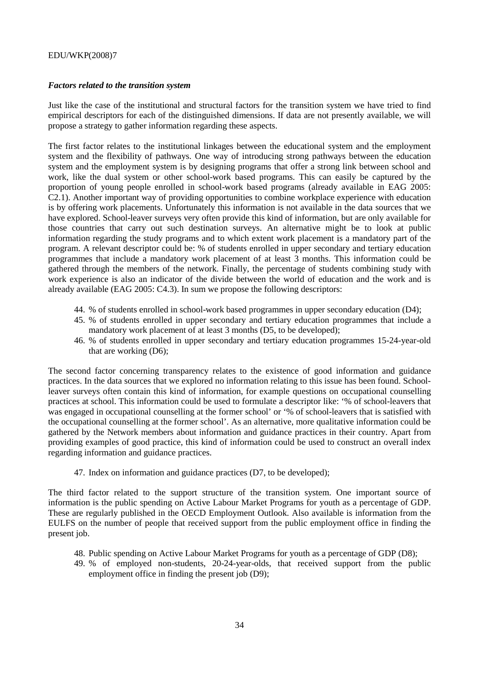#### *Factors related to the transition system*

Just like the case of the institutional and structural factors for the transition system we have tried to find empirical descriptors for each of the distinguished dimensions. If data are not presently available, we will propose a strategy to gather information regarding these aspects.

The first factor relates to the institutional linkages between the educational system and the employment system and the flexibility of pathways. One way of introducing strong pathways between the education system and the employment system is by designing programs that offer a strong link between school and work, like the dual system or other school-work based programs. This can easily be captured by the proportion of young people enrolled in school-work based programs (already available in EAG 2005: C2.1). Another important way of providing opportunities to combine workplace experience with education is by offering work placements. Unfortunately this information is not available in the data sources that we have explored. School-leaver surveys very often provide this kind of information, but are only available for those countries that carry out such destination surveys. An alternative might be to look at public information regarding the study programs and to which extent work placement is a mandatory part of the program. A relevant descriptor could be: % of students enrolled in upper secondary and tertiary education programmes that include a mandatory work placement of at least 3 months. This information could be gathered through the members of the network. Finally, the percentage of students combining study with work experience is also an indicator of the divide between the world of education and the work and is already available (EAG 2005: C4.3). In sum we propose the following descriptors:

- 44. % of students enrolled in school-work based programmes in upper secondary education (D4);
- 45. % of students enrolled in upper secondary and tertiary education programmes that include a mandatory work placement of at least 3 months (D5, to be developed);
- 46. % of students enrolled in upper secondary and tertiary education programmes 15-24-year-old that are working (D6);

The second factor concerning transparency relates to the existence of good information and guidance practices. In the data sources that we explored no information relating to this issue has been found. Schoolleaver surveys often contain this kind of information, for example questions on occupational counselling practices at school. This information could be used to formulate a descriptor like: '% of school-leavers that was engaged in occupational counselling at the former school' or '% of school-leavers that is satisfied with the occupational counselling at the former school'. As an alternative, more qualitative information could be gathered by the Network members about information and guidance practices in their country. Apart from providing examples of good practice, this kind of information could be used to construct an overall index regarding information and guidance practices.

47. Index on information and guidance practices (D7, to be developed);

The third factor related to the support structure of the transition system. One important source of information is the public spending on Active Labour Market Programs for youth as a percentage of GDP. These are regularly published in the OECD Employment Outlook. Also available is information from the EULFS on the number of people that received support from the public employment office in finding the present job.

- 48. Public spending on Active Labour Market Programs for youth as a percentage of GDP (D8);
- 49. % of employed non-students, 20-24-year-olds, that received support from the public employment office in finding the present job (D9);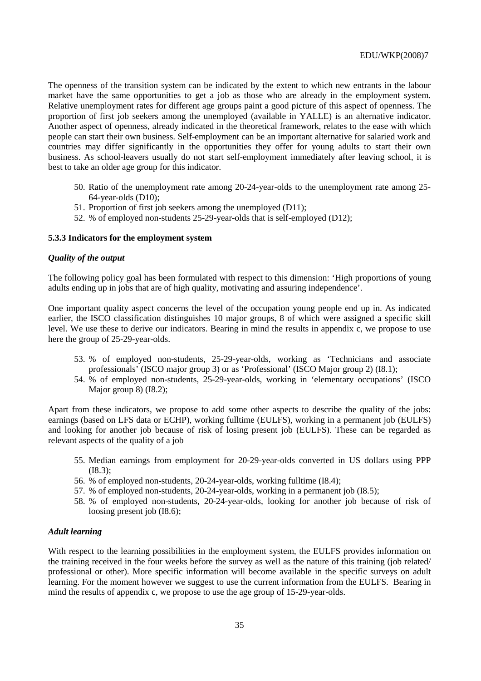The openness of the transition system can be indicated by the extent to which new entrants in the labour market have the same opportunities to get a job as those who are already in the employment system. Relative unemployment rates for different age groups paint a good picture of this aspect of openness. The proportion of first job seekers among the unemployed (available in YALLE) is an alternative indicator. Another aspect of openness, already indicated in the theoretical framework, relates to the ease with which people can start their own business. Self-employment can be an important alternative for salaried work and countries may differ significantly in the opportunities they offer for young adults to start their own business. As school-leavers usually do not start self-employment immediately after leaving school, it is best to take an older age group for this indicator.

- 50. Ratio of the unemployment rate among 20-24-year-olds to the unemployment rate among 25- 64-year-olds (D10);
- 51. Proportion of first job seekers among the unemployed (D11);
- 52. % of employed non-students 25-29-year-olds that is self-employed (D12);

#### **5.3.3 Indicators for the employment system**

#### *Quality of the output*

The following policy goal has been formulated with respect to this dimension: 'High proportions of young adults ending up in jobs that are of high quality, motivating and assuring independence'.

One important quality aspect concerns the level of the occupation young people end up in. As indicated earlier, the ISCO classification distinguishes 10 major groups, 8 of which were assigned a specific skill level. We use these to derive our indicators. Bearing in mind the results in appendix c, we propose to use here the group of 25-29-year-olds.

- 53. % of employed non-students, 25-29-year-olds, working as 'Technicians and associate professionals' (ISCO major group 3) or as 'Professional' (ISCO Major group 2) (I8.1);
- 54. % of employed non-students, 25-29-year-olds, working in 'elementary occupations' (ISCO Major group 8) (I8.2);

Apart from these indicators, we propose to add some other aspects to describe the quality of the jobs: earnings (based on LFS data or ECHP), working fulltime (EULFS), working in a permanent job (EULFS) and looking for another job because of risk of losing present job (EULFS). These can be regarded as relevant aspects of the quality of a job

- 55. Median earnings from employment for 20-29-year-olds converted in US dollars using PPP (I8.3);
- 56. % of employed non-students, 20-24-year-olds, working fulltime (I8.4);
- 57. % of employed non-students, 20-24-year-olds, working in a permanent job (I8.5);
- 58. % of employed non-students, 20-24-year-olds, looking for another job because of risk of loosing present job (I8.6);

#### *Adult learning*

With respect to the learning possibilities in the employment system, the EULFS provides information on the training received in the four weeks before the survey as well as the nature of this training (job related/ professional or other). More specific information will become available in the specific surveys on adult learning. For the moment however we suggest to use the current information from the EULFS. Bearing in mind the results of appendix c, we propose to use the age group of 15-29-year-olds.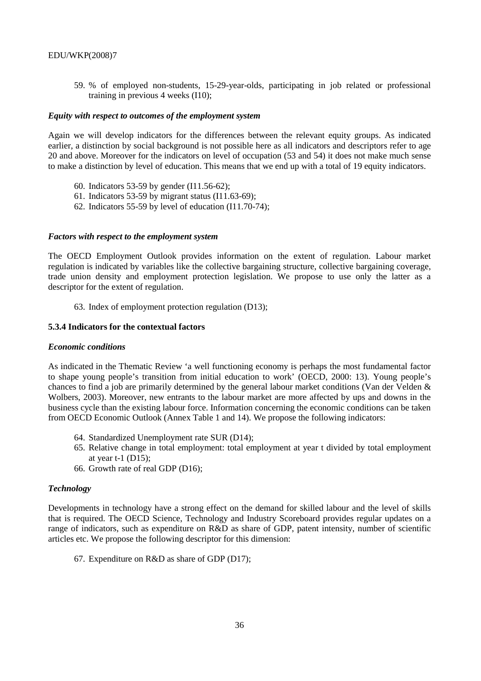59. % of employed non-students, 15-29-year-olds, participating in job related or professional training in previous 4 weeks (I10);

#### *Equity with respect to outcomes of the employment system*

Again we will develop indicators for the differences between the relevant equity groups. As indicated earlier, a distinction by social background is not possible here as all indicators and descriptors refer to age 20 and above. Moreover for the indicators on level of occupation (53 and 54) it does not make much sense to make a distinction by level of education. This means that we end up with a total of 19 equity indicators.

- 60. Indicators 53-59 by gender (I11.56-62);
- 61. Indicators 53-59 by migrant status (I11.63-69);
- 62. Indicators 55-59 by level of education (I11.70-74);

#### *Factors with respect to the employment system*

The OECD Employment Outlook provides information on the extent of regulation. Labour market regulation is indicated by variables like the collective bargaining structure, collective bargaining coverage, trade union density and employment protection legislation. We propose to use only the latter as a descriptor for the extent of regulation.

63. Index of employment protection regulation (D13);

#### **5.3.4 Indicators for the contextual factors**

#### *Economic conditions*

As indicated in the Thematic Review 'a well functioning economy is perhaps the most fundamental factor to shape young people's transition from initial education to work' (OECD, 2000: 13). Young people's chances to find a job are primarily determined by the general labour market conditions (Van der Velden & Wolbers, 2003). Moreover, new entrants to the labour market are more affected by ups and downs in the business cycle than the existing labour force. Information concerning the economic conditions can be taken from OECD Economic Outlook (Annex Table 1 and 14). We propose the following indicators:

- 64. Standardized Unemployment rate SUR (D14);
- 65. Relative change in total employment: total employment at year t divided by total employment at year  $t-1$  (D15);
- 66. Growth rate of real GDP (D16);

#### *Technology*

Developments in technology have a strong effect on the demand for skilled labour and the level of skills that is required. The OECD Science, Technology and Industry Scoreboard provides regular updates on a range of indicators, such as expenditure on R&D as share of GDP, patent intensity, number of scientific articles etc. We propose the following descriptor for this dimension:

67. Expenditure on R&D as share of GDP (D17);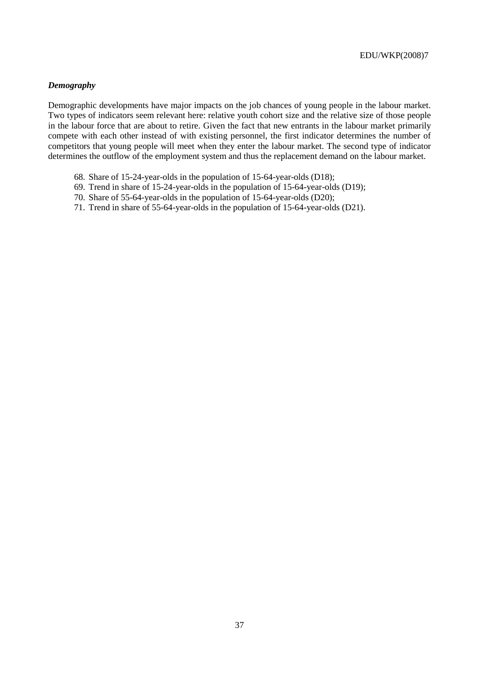## *Demography*

Demographic developments have major impacts on the job chances of young people in the labour market. Two types of indicators seem relevant here: relative youth cohort size and the relative size of those people in the labour force that are about to retire. Given the fact that new entrants in the labour market primarily compete with each other instead of with existing personnel, the first indicator determines the number of competitors that young people will meet when they enter the labour market. The second type of indicator determines the outflow of the employment system and thus the replacement demand on the labour market.

- 68. Share of 15-24-year-olds in the population of 15-64-year-olds (D18);
- 69. Trend in share of 15-24-year-olds in the population of 15-64-year-olds (D19);
- 70. Share of 55-64-year-olds in the population of 15-64-year-olds (D20);
- 71. Trend in share of 55-64-year-olds in the population of 15-64-year-olds (D21).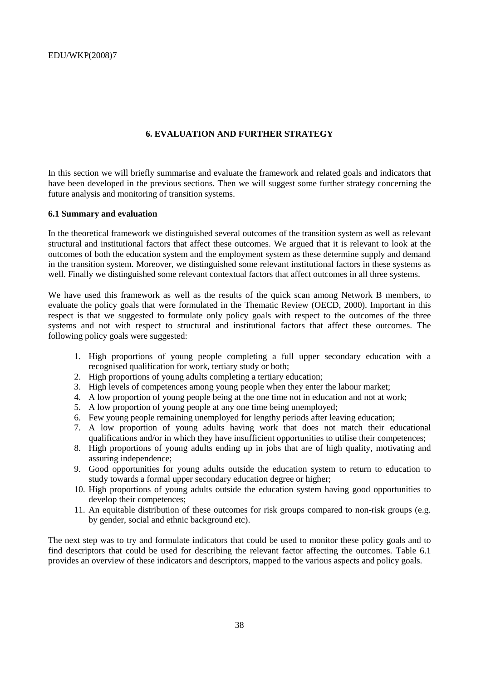## **6. EVALUATION AND FURTHER STRATEGY**

In this section we will briefly summarise and evaluate the framework and related goals and indicators that have been developed in the previous sections. Then we will suggest some further strategy concerning the future analysis and monitoring of transition systems.

#### **6.1 Summary and evaluation**

In the theoretical framework we distinguished several outcomes of the transition system as well as relevant structural and institutional factors that affect these outcomes. We argued that it is relevant to look at the outcomes of both the education system and the employment system as these determine supply and demand in the transition system. Moreover, we distinguished some relevant institutional factors in these systems as well. Finally we distinguished some relevant contextual factors that affect outcomes in all three systems.

We have used this framework as well as the results of the quick scan among Network B members, to evaluate the policy goals that were formulated in the Thematic Review (OECD, 2000). Important in this respect is that we suggested to formulate only policy goals with respect to the outcomes of the three systems and not with respect to structural and institutional factors that affect these outcomes. The following policy goals were suggested:

- 1. High proportions of young people completing a full upper secondary education with a recognised qualification for work, tertiary study or both;
- 2. High proportions of young adults completing a tertiary education;
- 3. High levels of competences among young people when they enter the labour market;
- 4. A low proportion of young people being at the one time not in education and not at work;
- 5. A low proportion of young people at any one time being unemployed;
- 6. Few young people remaining unemployed for lengthy periods after leaving education;
- 7. A low proportion of young adults having work that does not match their educational qualifications and/or in which they have insufficient opportunities to utilise their competences;
- 8. High proportions of young adults ending up in jobs that are of high quality, motivating and assuring independence;
- 9. Good opportunities for young adults outside the education system to return to education to study towards a formal upper secondary education degree or higher;
- 10. High proportions of young adults outside the education system having good opportunities to develop their competences;
- 11. An equitable distribution of these outcomes for risk groups compared to non-risk groups (e.g. by gender, social and ethnic background etc).

The next step was to try and formulate indicators that could be used to monitor these policy goals and to find descriptors that could be used for describing the relevant factor affecting the outcomes. Table 6.1 provides an overview of these indicators and descriptors, mapped to the various aspects and policy goals.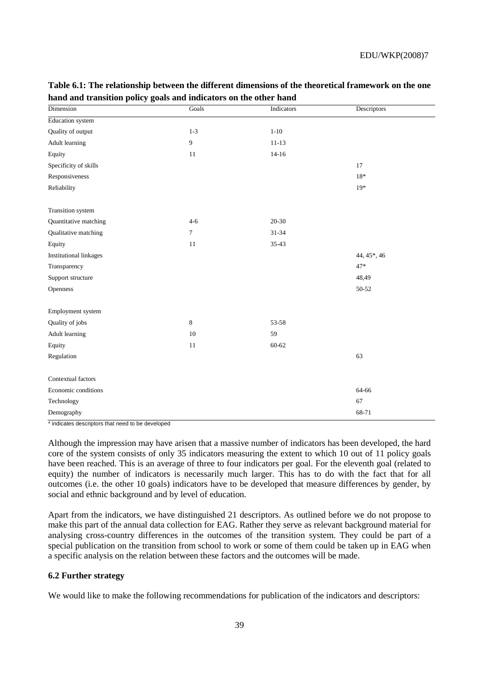| Dimension                     | Goals          | Indicators | Descriptors |
|-------------------------------|----------------|------------|-------------|
| Education system              |                |            |             |
| Quality of output             | $1 - 3$        | $1 - 10$   |             |
| Adult learning                | $\overline{9}$ | $11 - 13$  |             |
| Equity                        | 11             | $14 - 16$  |             |
| Specificity of skills         |                |            | 17          |
| Responsiveness                |                |            | $18*$       |
| Reliability                   |                |            | $19*$       |
|                               |                |            |             |
| Transition system             |                |            |             |
| Quantitative matching         | $4 - 6$        | 20-30      |             |
| Qualitative matching          | $\tau$         | $31 - 34$  |             |
| Equity                        | 11             | 35-43      |             |
| <b>Institutional linkages</b> |                |            | 44, 45*, 46 |
| Transparency                  |                |            | $47*$       |
| Support structure             |                |            | 48,49       |
| Openness                      |                |            | 50-52       |
|                               |                |            |             |
| Employment system             |                |            |             |
| Quality of jobs               | 8              | 53-58      |             |
| Adult learning                | 10             | 59         |             |
| Equity                        | 11             | 60-62      |             |
| Regulation                    |                |            | 63          |
|                               |                |            |             |
| Contextual factors            |                |            |             |
| Economic conditions           |                |            | 64-66       |
| Technology                    |                |            | 67          |
| Demography                    |                |            | 68-71       |

## **Table 6.1: The relationship between the different dimensions of the theoretical framework on the one hand and transition policy goals and indicators on the other hand**

\* indicates descriptors that need to be developed

Although the impression may have arisen that a massive number of indicators has been developed, the hard core of the system consists of only 35 indicators measuring the extent to which 10 out of 11 policy goals have been reached. This is an average of three to four indicators per goal. For the eleventh goal (related to equity) the number of indicators is necessarily much larger. This has to do with the fact that for all outcomes (i.e. the other 10 goals) indicators have to be developed that measure differences by gender, by social and ethnic background and by level of education.

Apart from the indicators, we have distinguished 21 descriptors. As outlined before we do not propose to make this part of the annual data collection for EAG. Rather they serve as relevant background material for analysing cross-country differences in the outcomes of the transition system. They could be part of a special publication on the transition from school to work or some of them could be taken up in EAG when a specific analysis on the relation between these factors and the outcomes will be made.

#### **6.2 Further strategy**

We would like to make the following recommendations for publication of the indicators and descriptors: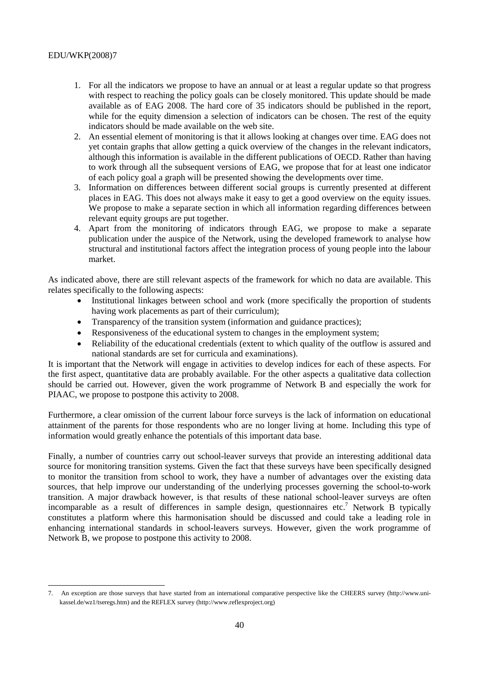- 1. For all the indicators we propose to have an annual or at least a regular update so that progress with respect to reaching the policy goals can be closely monitored. This update should be made available as of EAG 2008. The hard core of 35 indicators should be published in the report, while for the equity dimension a selection of indicators can be chosen. The rest of the equity indicators should be made available on the web site.
- 2. An essential element of monitoring is that it allows looking at changes over time. EAG does not yet contain graphs that allow getting a quick overview of the changes in the relevant indicators, although this information is available in the different publications of OECD. Rather than having to work through all the subsequent versions of EAG, we propose that for at least one indicator of each policy goal a graph will be presented showing the developments over time.
- 3. Information on differences between different social groups is currently presented at different places in EAG. This does not always make it easy to get a good overview on the equity issues. We propose to make a separate section in which all information regarding differences between relevant equity groups are put together.
- 4. Apart from the monitoring of indicators through EAG, we propose to make a separate publication under the auspice of the Network, using the developed framework to analyse how structural and institutional factors affect the integration process of young people into the labour market.

As indicated above, there are still relevant aspects of the framework for which no data are available. This relates specifically to the following aspects:

- Institutional linkages between school and work (more specifically the proportion of students having work placements as part of their curriculum);
- Transparency of the transition system (information and guidance practices);
- Responsiveness of the educational system to changes in the employment system;
- Reliability of the educational credentials (extent to which quality of the outflow is assured and national standards are set for curricula and examinations).

It is important that the Network will engage in activities to develop indices for each of these aspects. For the first aspect, quantitative data are probably available. For the other aspects a qualitative data collection should be carried out. However, given the work programme of Network B and especially the work for PIAAC, we propose to postpone this activity to 2008.

Furthermore, a clear omission of the current labour force surveys is the lack of information on educational attainment of the parents for those respondents who are no longer living at home. Including this type of information would greatly enhance the potentials of this important data base.

Finally, a number of countries carry out school-leaver surveys that provide an interesting additional data source for monitoring transition systems. Given the fact that these surveys have been specifically designed to monitor the transition from school to work, they have a number of advantages over the existing data sources, that help improve our understanding of the underlying processes governing the school-to-work transition. A major drawback however, is that results of these national school-leaver surveys are often incomparable as a result of differences in sample design, questionnaires etc.<sup>7</sup> Network B typically constitutes a platform where this harmonisation should be discussed and could take a leading role in enhancing international standards in school-leavers surveys. However, given the work programme of Network B, we propose to postpone this activity to 2008.

 7. An exception are those surveys that have started from an international comparative perspective like the CHEERS survey (http://www.unikassel.de/wz1/tseregs.htm) and the REFLEX survey (http://www.reflexproject.org)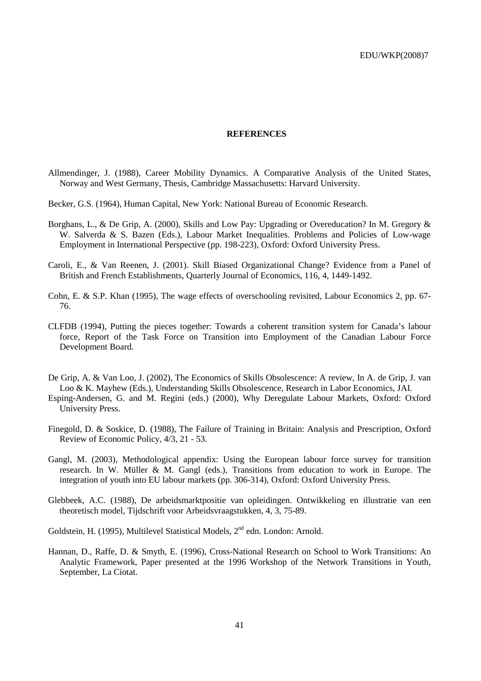#### **REFERENCES**

- Allmendinger, J. (1988), Career Mobility Dynamics. A Comparative Analysis of the United States, Norway and West Germany, Thesis, Cambridge Massachusetts: Harvard University.
- Becker, G.S. (1964), Human Capital, New York: National Bureau of Economic Research.
- Borghans, L., & De Grip, A. (2000), Skills and Low Pay: Upgrading or Overeducation? In M. Gregory & W. Salverda & S. Bazen (Eds.), Labour Market Inequalities. Problems and Policies of Low-wage Employment in International Perspective (pp. 198-223), Oxford: Oxford University Press.
- Caroli, E., & Van Reenen, J. (2001). Skill Biased Organizational Change? Evidence from a Panel of British and French Establishments, Quarterly Journal of Economics, 116, 4, 1449-1492.
- Cohn, E. & S.P. Khan (1995), The wage effects of overschooling revisited, Labour Economics 2, pp. 67- 76.
- CLFDB (1994), Putting the pieces together: Towards a coherent transition system for Canada's labour force, Report of the Task Force on Transition into Employment of the Canadian Labour Force Development Board.
- De Grip, A. & Van Loo, J. (2002), The Economics of Skills Obsolescence: A review, In A. de Grip, J. van Loo & K. Mayhew (Eds.), Understanding Skills Obsolescence, Research in Labor Economics, JAI.
- Esping-Andersen, G. and M. Regini (eds.) (2000), Why Deregulate Labour Markets, Oxford: Oxford University Press.
- Finegold, D. & Soskice, D. (1988), The Failure of Training in Britain: Analysis and Prescription, Oxford Review of Economic Policy, 4/3, 21 - 53.
- Gangl, M. (2003), Methodological appendix: Using the European labour force survey for transition research. In W. Müller & M. Gangl (eds.), Transitions from education to work in Europe. The integration of youth into EU labour markets (pp. 306-314), Oxford: Oxford University Press.
- Glebbeek, A.C. (1988), De arbeidsmarktpositie van opleidingen. Ontwikkeling en illustratie van een theoretisch model, Tijdschrift voor Arbeidsvraagstukken, 4, 3, 75-89.

Goldstein, H. (1995), Multilevel Statistical Models,  $2<sup>nd</sup>$  edn. London: Arnold.

Hannan, D., Raffe, D. & Smyth, E. (1996), Cross-National Research on School to Work Transitions: An Analytic Framework, Paper presented at the 1996 Workshop of the Network Transitions in Youth, September, La Ciotat.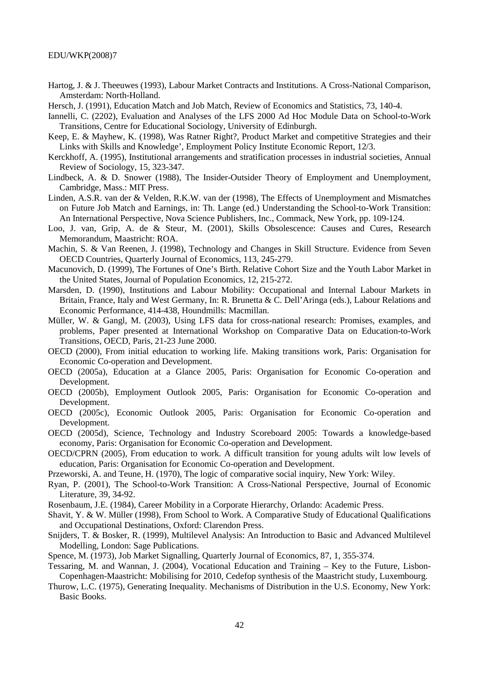- Hartog, J. & J. Theeuwes (1993), Labour Market Contracts and Institutions. A Cross-National Comparison, Amsterdam: North-Holland.
- Hersch, J. (1991), Education Match and Job Match, Review of Economics and Statistics, 73, 140-4.
- Iannelli, C. (2202), Evaluation and Analyses of the LFS 2000 Ad Hoc Module Data on School-to-Work Transitions, Centre for Educational Sociology, University of Edinburgh.
- Keep, E. & Mayhew, K. (1998), Was Ratner Right?, Product Market and competitive Strategies and their Links with Skills and Knowledge', Employment Policy Institute Economic Report, 12/3.
- Kerckhoff, A. (1995), Institutional arrangements and stratification processes in industrial societies, Annual Review of Sociology, 15, 323-347.
- Lindbeck, A. & D. Snower (1988), The Insider-Outsider Theory of Employment and Unemployment, Cambridge, Mass.: MIT Press.
- Linden, A.S.R. van der & Velden, R.K.W. van der (1998), The Effects of Unemployment and Mismatches on Future Job Match and Earnings, in: Th. Lange (ed.) Understanding the School-to-Work Transition: An International Perspective, Nova Science Publishers, Inc., Commack, New York, pp. 109-124.
- Loo, J. van, Grip, A. de & Steur, M. (2001), Skills Obsolescence: Causes and Cures, Research Memorandum, Maastricht: ROA.
- Machin, S. & Van Reenen, J. (1998), Technology and Changes in Skill Structure. Evidence from Seven OECD Countries, Quarterly Journal of Economics, 113, 245-279.
- Macunovich, D. (1999), The Fortunes of One's Birth. Relative Cohort Size and the Youth Labor Market in the United States, Journal of Population Economics, 12, 215-272.
- Marsden, D. (1990), Institutions and Labour Mobility: Occupational and Internal Labour Markets in Britain, France, Italy and West Germany, In: R. Brunetta & C. Dell'Aringa (eds.), Labour Relations and Economic Performance, 414-438, Houndmills: Macmillan.
- Müller, W. & Gangl, M. (2003), Using LFS data for cross-national research: Promises, examples, and problems, Paper presented at International Workshop on Comparative Data on Education-to-Work Transitions, OECD, Paris, 21-23 June 2000.
- OECD (2000), From initial education to working life. Making transitions work, Paris: Organisation for Economic Co-operation and Development.
- OECD (2005a), Education at a Glance 2005, Paris: Organisation for Economic Co-operation and Development.
- OECD (2005b), Employment Outlook 2005, Paris: Organisation for Economic Co-operation and Development.
- OECD (2005c), Economic Outlook 2005, Paris: Organisation for Economic Co-operation and Development.
- OECD (2005d), Science, Technology and Industry Scoreboard 2005: Towards a knowledge-based economy, Paris: Organisation for Economic Co-operation and Development.
- OECD/CPRN (2005), From education to work. A difficult transition for young adults wilt low levels of education, Paris: Organisation for Economic Co-operation and Development.
- Przeworski, A. and Teune, H. (1970), The logic of comparative social inquiry, New York: Wiley.
- Ryan, P. (2001), The School-to-Work Transition: A Cross-National Perspective, Journal of Economic Literature, 39, 34-92.
- Rosenbaum, J.E. (1984), Career Mobility in a Corporate Hierarchy, Orlando: Academic Press.
- Shavit, Y. & W. Müller (1998), From School to Work. A Comparative Study of Educational Qualifications and Occupational Destinations, Oxford: Clarendon Press.
- Snijders, T. & Bosker, R. (1999), Multilevel Analysis: An Introduction to Basic and Advanced Multilevel Modelling, London: Sage Publications.
- Spence, M. (1973), Job Market Signalling, Quarterly Journal of Economics, 87, 1, 355-374.
- Tessaring, M. and Wannan, J. (2004), Vocational Education and Training Key to the Future, Lisbon-Copenhagen-Maastricht: Mobilising for 2010, Cedefop synthesis of the Maastricht study, Luxembourg.
- Thurow, L.C. (1975), Generating Inequality. Mechanisms of Distribution in the U.S. Economy, New York: Basic Books.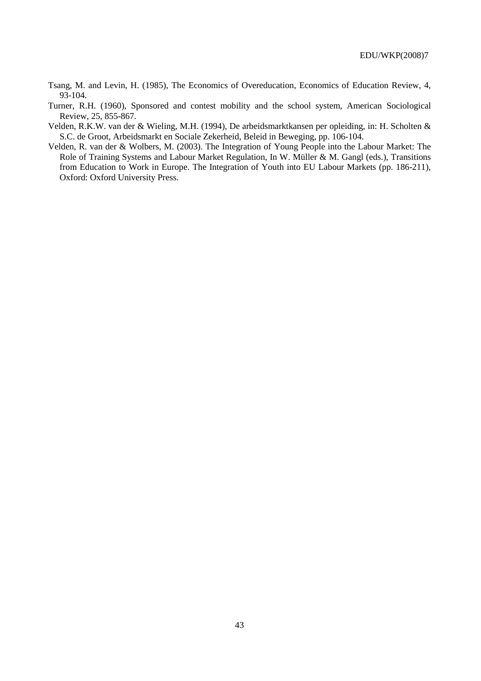- Tsang, M. and Levin, H. (1985), The Economics of Overeducation, Economics of Education Review, 4, 93-104.
- Turner, R.H. (1960), Sponsored and contest mobility and the school system, American Sociological Review, 25, 855-867.
- Velden, R.K.W. van der & Wieling, M.H. (1994), De arbeidsmarktkansen per opleiding, in: H. Scholten & S.C. de Groot, Arbeidsmarkt en Sociale Zekerheid, Beleid in Beweging, pp. 106-104.
- Velden, R. van der & Wolbers, M. (2003). The Integration of Young People into the Labour Market: The Role of Training Systems and Labour Market Regulation, In W. Müller & M. Gangl (eds.), Transitions from Education to Work in Europe. The Integration of Youth into EU Labour Markets (pp. 186-211), Oxford: Oxford University Press.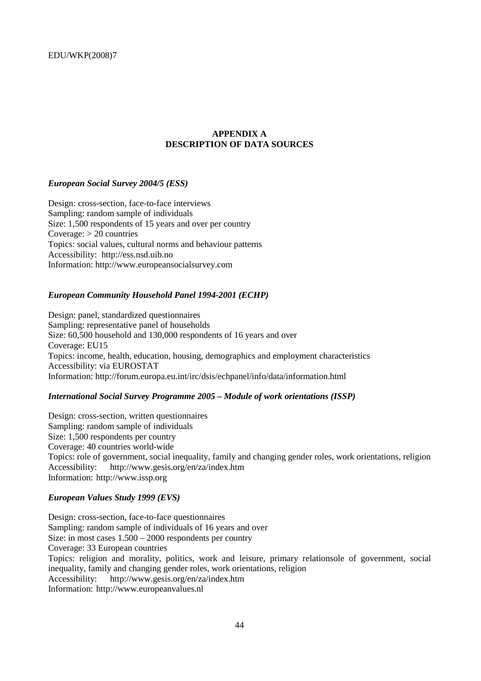## **APPENDIX A DESCRIPTION OF DATA SOURCES**

#### *European Social Survey 2004/5 (ESS)*

Design: cross-section, face-to-face interviews Sampling: random sample of individuals Size: 1,500 respondents of 15 years and over per country Coverage:  $> 20$  countries Topics: social values, cultural norms and behaviour patterns Accessibility: http://ess.nsd.uib.no Information: http://www.europeansocialsurvey.com

#### *European Community Household Panel 1994-2001 (ECHP)*

Design: panel, standardized questionnaires Sampling: representative panel of households Size: 60,500 household and 130,000 respondents of 16 years and over Coverage: EU15 Topics: income, health, education, housing, demographics and employment characteristics Accessibility: via EUROSTAT Information: http://forum.europa.eu.int/irc/dsis/echpanel/info/data/information.html

## *International Social Survey Programme 2005 – Module of work orientations (ISSP)*

Design: cross-section, written questionnaires Sampling: random sample of individuals Size: 1,500 respondents per country Coverage: 40 countries world-wide Topics: role of government, social inequality, family and changing gender roles, work orientations, religion Accessibility: http://www.gesis.org/en/za/index.htm Information: http://www.issp.org

#### *European Values Study 1999 (EVS)*

Design: cross-section, face-to-face questionnaires Sampling: random sample of individuals of 16 years and over Size: in most cases 1.500 – 2000 respondents per country Coverage: 33 European countries Topics: religion and morality, politics, work and leisure, primary relationsole of government, social inequality, family and changing gender roles, work orientations, religion Accessibility: http://www.gesis.org/en/za/index.htm Information: http://www.europeanvalues.nl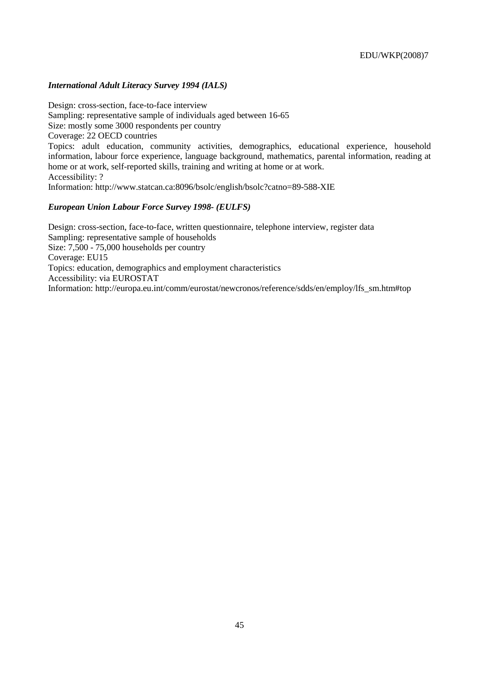## *International Adult Literacy Survey 1994 (IALS)*

Design: cross-section, face-to-face interview Sampling: representative sample of individuals aged between 16-65 Size: mostly some 3000 respondents per country Coverage: 22 OECD countries Topics: adult education, community activities, demographics, educational experience, household information, labour force experience, language background, mathematics, parental information, reading at home or at work, self-reported skills, training and writing at home or at work. Accessibility: ? Information: http://www.statcan.ca:8096/bsolc/english/bsolc?catno=89-588-XIE

## *European Union Labour Force Survey 1998- (EULFS)*

Design: cross-section, face-to-face, written questionnaire, telephone interview, register data Sampling: representative sample of households Size: 7,500 - 75,000 households per country Coverage: EU15 Topics: education, demographics and employment characteristics Accessibility: via EUROSTAT Information: http://europa.eu.int/comm/eurostat/newcronos/reference/sdds/en/employ/lfs\_sm.htm#top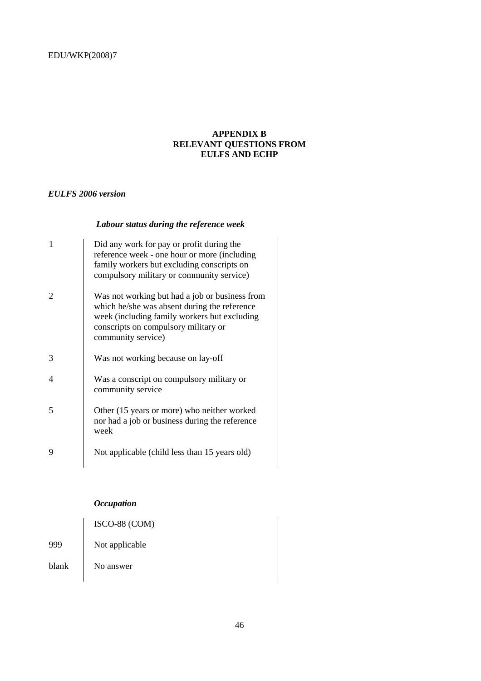## **APPENDIX B RELEVANT QUESTIONS FROM EULFS AND ECHP**

## *EULFS 2006 version*

## *Labour status during the reference week*

| 1 | Did any work for pay or profit during the<br>reference week - one hour or more (including<br>family workers but excluding conscripts on<br>compulsory military or community service)                         |
|---|--------------------------------------------------------------------------------------------------------------------------------------------------------------------------------------------------------------|
|   | Was not working but had a job or business from<br>which he/she was absent during the reference<br>week (including family workers but excluding<br>conscripts on compulsory military or<br>community service) |
| 3 | Was not working because on lay-off                                                                                                                                                                           |
| 4 | Was a conscript on compulsory military or<br>community service                                                                                                                                               |
| 5 | Other (15 years or more) who neither worked<br>nor had a job or business during the reference<br>week                                                                                                        |
| 9 | Not applicable (child less than 15 years old)                                                                                                                                                                |

## *Occupation*

|       | ISCO-88 (COM)  |
|-------|----------------|
| 999   | Not applicable |
| blank | No answer      |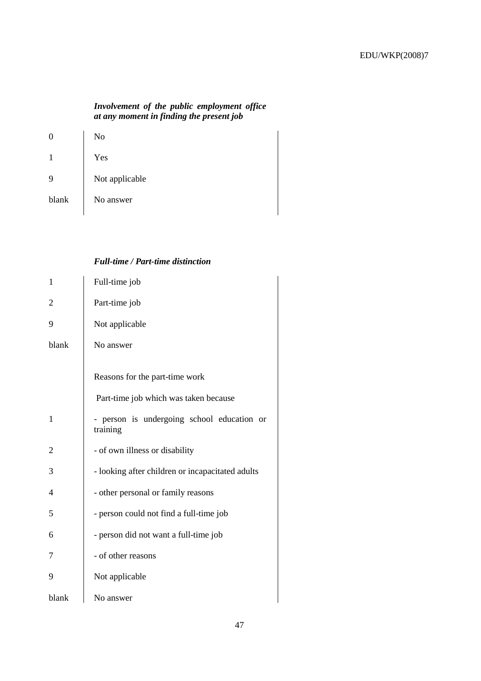## *Involvement of the public employment office at any moment in finding the present job*

| U     | No             |
|-------|----------------|
|       | Yes            |
| 9     | Not applicable |
| blank | No answer      |

## *Full-time / Part-time distinction*

| $\mathbf{1}$   | Full-time job                                                           |
|----------------|-------------------------------------------------------------------------|
| $\overline{2}$ | Part-time job                                                           |
| 9              | Not applicable                                                          |
| blank          | No answer                                                               |
|                | Reasons for the part-time work<br>Part-time job which was taken because |
|                |                                                                         |
| $\mathbf{1}$   | - person is undergoing school education or<br>training                  |
| $\overline{2}$ | - of own illness or disability                                          |
| 3              | - looking after children or incapacitated adults                        |
| 4              | - other personal or family reasons                                      |
| 5              | - person could not find a full-time job                                 |
| 6              | - person did not want a full-time job                                   |
| 7              | - of other reasons                                                      |
| 9              | Not applicable                                                          |
| blank          | No answer                                                               |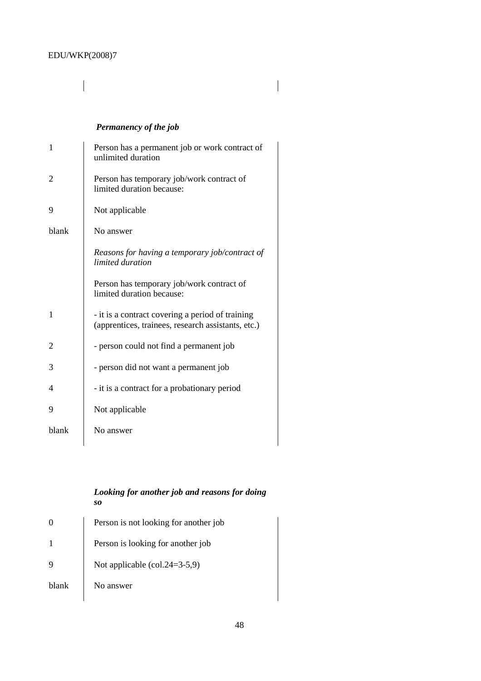## $\overline{\mathsf{I}}$

## *Permanency of the job*

| $\mathbf{1}$ | Person has a permanent job or work contract of<br>unlimited duration                                   |
|--------------|--------------------------------------------------------------------------------------------------------|
| 2            | Person has temporary job/work contract of<br>limited duration because:                                 |
| 9            | Not applicable                                                                                         |
| blank        | No answer                                                                                              |
|              | Reasons for having a temporary job/contract of<br>limited duration                                     |
|              | Person has temporary job/work contract of<br>limited duration because:                                 |
| $\mathbf{1}$ | - it is a contract covering a period of training<br>(apprentices, trainees, research assistants, etc.) |
| 2            | - person could not find a permanent job                                                                |
| 3            | - person did not want a permanent job                                                                  |
| 4            | - it is a contract for a probationary period                                                           |
| 9            | Not applicable                                                                                         |
| blank        | No answer                                                                                              |

## *Looking for another job and reasons for doing so*

| Person is not looking for another job                      |
|------------------------------------------------------------|
| Person is looking for another job                          |
| Not applicable $\left(\text{col.24}=\frac{3}{5}, 9\right)$ |
| No answer                                                  |
|                                                            |

 $\begin{array}{c} \hline \end{array}$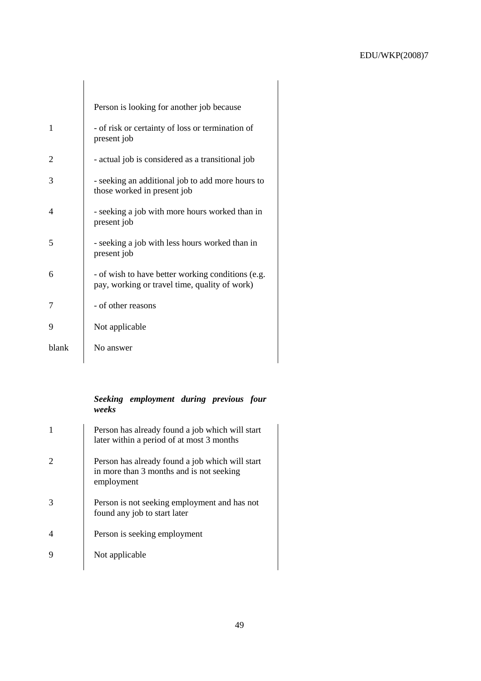|       | Person is looking for another job because                                                          |
|-------|----------------------------------------------------------------------------------------------------|
| 1     | - of risk or certainty of loss or termination of<br>present job                                    |
| 2     | - actual job is considered as a transitional job                                                   |
| 3     | - seeking an additional job to add more hours to<br>those worked in present job                    |
| 4     | - seeking a job with more hours worked than in<br>present job                                      |
| 5     | - seeking a job with less hours worked than in<br>present job                                      |
| 6     | - of wish to have better working conditions (e.g.<br>pay, working or travel time, quality of work) |
| 7     | - of other reasons                                                                                 |
| 9     | Not applicable                                                                                     |
| blank | No answer                                                                                          |

## *Seeking employment during previous four weeks*

| 1 | Person has already found a job which will start<br>later within a period of at most 3 months              |
|---|-----------------------------------------------------------------------------------------------------------|
|   | Person has already found a job which will start<br>in more than 3 months and is not seeking<br>employment |
| 3 | Person is not seeking employment and has not<br>found any job to start later                              |
| 4 | Person is seeking employment                                                                              |
| 9 | Not applicable                                                                                            |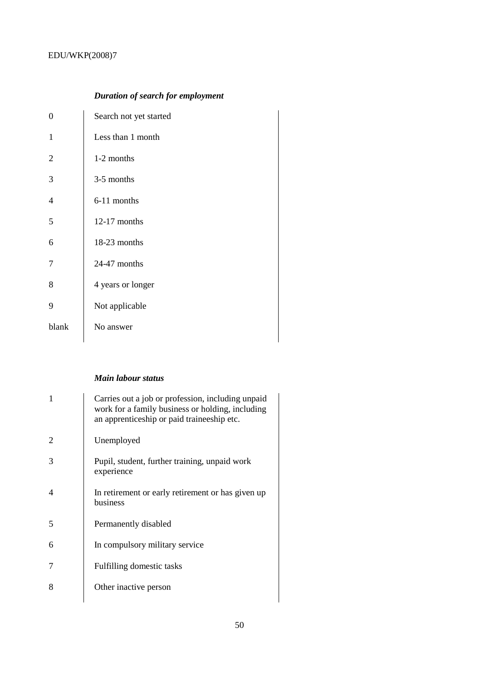## *Duration of search for employment*

| 0              | Search not yet started |
|----------------|------------------------|
| 1              | Less than 1 month      |
| $\overline{2}$ | 1-2 months             |
| 3              | 3-5 months             |
| 4              | 6-11 months            |
| 5              | $12-17$ months         |
| 6              | 18-23 months           |
| 7              | 24-47 months           |
| 8              | 4 years or longer      |
| 9              | Not applicable         |
| blank          | No answer              |
|                |                        |

## *Main labour status*

| 1              | Carries out a job or profession, including unpaid<br>work for a family business or holding, including<br>an apprenticeship or paid traineeship etc. |
|----------------|-----------------------------------------------------------------------------------------------------------------------------------------------------|
| $\overline{2}$ | Unemployed                                                                                                                                          |
| 3              | Pupil, student, further training, unpaid work<br>experience                                                                                         |
| $\overline{4}$ | In retirement or early retirement or has given up<br>business                                                                                       |
| 5              | Permanently disabled                                                                                                                                |
| 6              | In compulsory military service                                                                                                                      |
| 7              | Fulfilling domestic tasks                                                                                                                           |
| 8              | Other inactive person                                                                                                                               |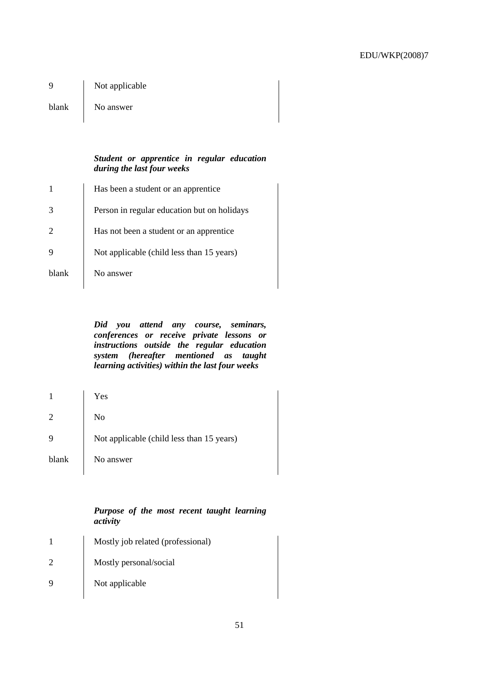9 Not applicable

blank No answer

## *Student or apprentice in regular education during the last four weeks*

| Has been a student or an apprentice         |
|---------------------------------------------|
| Person in regular education but on holidays |
| Has not been a student or an apprentice.    |
| Not applicable (child less than 15 years)   |
| No answer                                   |
|                                             |

*Did you attend any course, seminars, conferences or receive private lessons or instructions outside the regular education system (hereafter mentioned as taught learning activities) within the last four weeks* 

| 1              | Yes                                       |
|----------------|-------------------------------------------|
| $\overline{2}$ | No                                        |
| 9              | Not applicable (child less than 15 years) |
| blank          | No answer                                 |

## *Purpose of the most recent taught learning activity*

|             | Mostly job related (professional) |
|-------------|-----------------------------------|
|             | Mostly personal/social            |
| $\mathbf Q$ | Not applicable                    |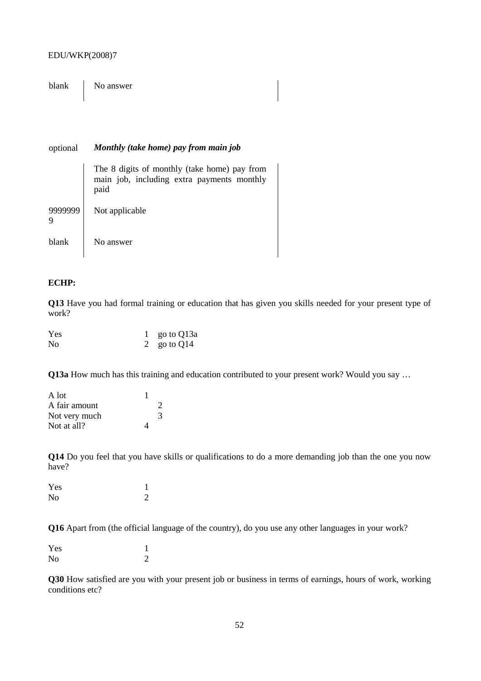blank No answer

#### optional *Monthly (take home) pay from main job*

|       | The 8 digits of monthly (take home) pay from<br>main job, including extra payments monthly<br>paid |
|-------|----------------------------------------------------------------------------------------------------|
| 9     | Not applicable                                                                                     |
| blank | No answer                                                                                          |

### **ECHP:**

**Q13** Have you had formal training or education that has given you skills needed for your present type of work?

| Yes | 1 go to $Q13a$ |
|-----|----------------|
| No  | 2 go to $Q14$  |

**Q13a** How much has this training and education contributed to your present work? Would you say …

| A lot         |               |
|---------------|---------------|
| A fair amount | $\mathcal{D}$ |
| Not very much | 3             |
| Not at all?   |               |

**Q14** Do you feel that you have skills or qualifications to do a more demanding job than the one you now have?

| Yes            |   |
|----------------|---|
| N <sub>o</sub> | ာ |

**Q16** Apart from (the official language of the country), do you use any other languages in your work?

| Yes |  |
|-----|--|
| No  |  |

**Q30** How satisfied are you with your present job or business in terms of earnings, hours of work, working conditions etc?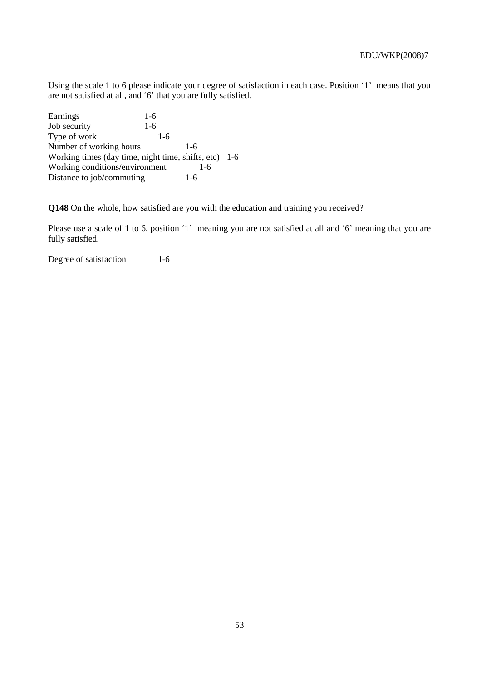Using the scale 1 to 6 please indicate your degree of satisfaction in each case. Position '1' means that you are not satisfied at all, and '6' that you are fully satisfied.

Earnings 1-6 Job security 1-6 Type of work 1-6 Number of working hours 1-6 Working times (day time, night time, shifts, etc) 1-6 Working conditions/environment 1-6<br>Distance to iob/commuting 1-6 Distance to job/commuting

**Q148** On the whole, how satisfied are you with the education and training you received?

Please use a scale of 1 to 6, position '1' meaning you are not satisfied at all and '6' meaning that you are fully satisfied.

Degree of satisfaction 1-6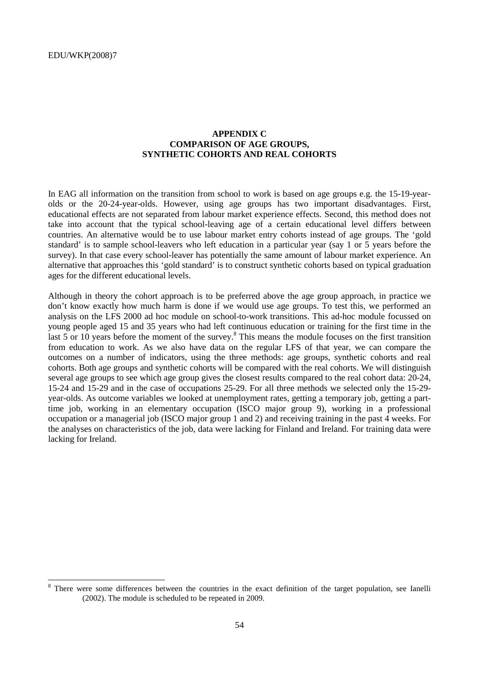## **APPENDIX C COMPARISON OF AGE GROUPS, SYNTHETIC COHORTS AND REAL COHORTS**

In EAG all information on the transition from school to work is based on age groups e.g. the 15-19-yearolds or the 20-24-year-olds. However, using age groups has two important disadvantages. First, educational effects are not separated from labour market experience effects. Second, this method does not take into account that the typical school-leaving age of a certain educational level differs between countries. An alternative would be to use labour market entry cohorts instead of age groups. The 'gold standard' is to sample school-leavers who left education in a particular year (say 1 or 5 years before the survey). In that case every school-leaver has potentially the same amount of labour market experience. An alternative that approaches this 'gold standard' is to construct synthetic cohorts based on typical graduation ages for the different educational levels.

Although in theory the cohort approach is to be preferred above the age group approach, in practice we don't know exactly how much harm is done if we would use age groups. To test this, we performed an analysis on the LFS 2000 ad hoc module on school-to-work transitions. This ad-hoc module focussed on young people aged 15 and 35 years who had left continuous education or training for the first time in the last  $5$  or 10 years before the moment of the survey.<sup>8</sup> This means the module focuses on the first transition from education to work. As we also have data on the regular LFS of that year, we can compare the outcomes on a number of indicators, using the three methods: age groups, synthetic cohorts and real cohorts. Both age groups and synthetic cohorts will be compared with the real cohorts. We will distinguish several age groups to see which age group gives the closest results compared to the real cohort data: 20-24, 15-24 and 15-29 and in the case of occupations 25-29. For all three methods we selected only the 15-29 year-olds. As outcome variables we looked at unemployment rates, getting a temporary job, getting a parttime job, working in an elementary occupation (ISCO major group 9), working in a professional occupation or a managerial job (ISCO major group 1 and 2) and receiving training in the past 4 weeks. For the analyses on characteristics of the job, data were lacking for Finland and Ireland. For training data were lacking for Ireland.

<sup>8</sup> There were some differences between the countries in the exact definition of the target population, see Ianelli (2002). The module is scheduled to be repeated in 2009.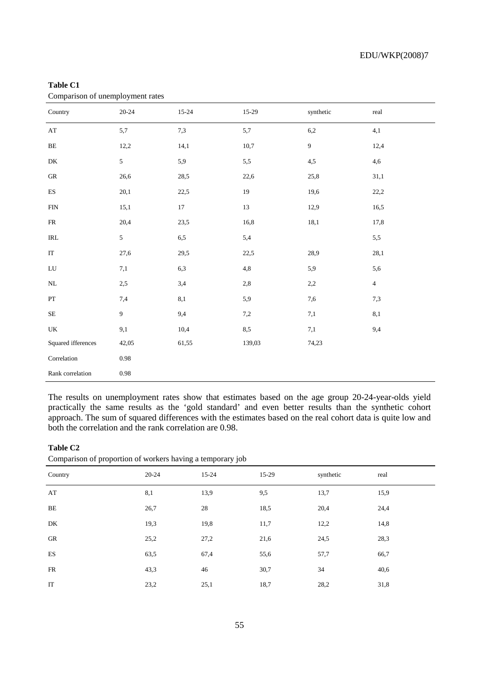| Comparison or unemployment rates   |                  |           |          |                  |                |  |  |
|------------------------------------|------------------|-----------|----------|------------------|----------------|--|--|
| Country                            | $20 - 24$        | $15 - 24$ | $15-29$  | synthetic        | real           |  |  |
| $\mathbf{A}\mathbf{T}$             | 5,7              | 7,3       | $5,\!7$  | $6,\!2$          | 4,1            |  |  |
| $\rm BE$                           | 12,2             | 14,1      | 10,7     | $\boldsymbol{9}$ | 12,4           |  |  |
| ${\rm DK}$                         | $\sqrt{5}$       | 5,9       | $5,\!5$  | 4,5              | 4,6            |  |  |
| ${\rm GR}$                         | 26,6             | 28,5      | 22,6     | 25,8             | 31,1           |  |  |
| $\mathop{\hbox{\rm ES}}$           | 20,1             | 22,5      | 19       | 19,6             | 22,2           |  |  |
| ${\rm FIN}$                        | 15,1             | $17\,$    | 13       | 12,9             | 16,5           |  |  |
| ${\sf FR}$                         | 20,4             | 23,5      | 16,8     | 18,1             | 17,8           |  |  |
| $\ensuremath{\mathsf{IRL}}\xspace$ | $\sqrt{5}$       | 6,5       | 5,4      |                  | 5,5            |  |  |
| $\operatorname{IT}$                | 27,6             | 29,5      | 22,5     | 28,9             | 28,1           |  |  |
| ${\rm LU}$                         | $7,\!1$          | 6,3       | $^{4,8}$ | 5,9              | 5,6            |  |  |
| $\rm NL$                           | 2,5              | 3,4       | $2,\!8$  | 2,2              | $\overline{4}$ |  |  |
| $\mathbf{PT}$                      | 7,4              | $8,\!1$   | 5,9      | 7,6              | 7,3            |  |  |
| $\rm SE$                           | $\boldsymbol{9}$ | 9,4       | $7,\!2$  | $7,\!1$          | 8,1            |  |  |
| $\ensuremath{\mathrm{UK}}\xspace$  | 9,1              | 10,4      | $8,\!5$  | $7,\!1$          | 9,4            |  |  |
| Squared ifferences                 | 42,05            | 61,55     | 139,03   | 74,23            |                |  |  |
| $\mbox{Correlation}$               | $\rm 0.98$       |           |          |                  |                |  |  |
| Rank correlation                   | $\rm 0.98$       |           |          |                  |                |  |  |

#### **Table C1**  Comparison of unemployment rates

The results on unemployment rates show that estimates based on the age group 20-24-year-olds yield practically the same results as the 'gold standard' and even better results than the synthetic cohort approach. The sum of squared differences with the estimates based on the real cohort data is quite low and both the correlation and the rank correlation are 0.98.

#### **Table C2**

| Comparison of proportion of workers having a temporary job |  |  |  |  |
|------------------------------------------------------------|--|--|--|--|
|                                                            |  |  |  |  |

| Country   | 20-24 | $15-24$ | 15-29 | synthetic | real |
|-----------|-------|---------|-------|-----------|------|
| AT        | 8,1   | 13,9    | 9,5   | 13,7      | 15,9 |
| BE        | 26,7  | 28      | 18,5  | 20,4      | 24,4 |
| DK        | 19,3  | 19,8    | 11,7  | 12,2      | 14,8 |
| GR        | 25,2  | 27,2    | 21,6  | 24,5      | 28,3 |
| ES        | 63,5  | 67,4    | 55,6  | 57,7      | 66,7 |
| <b>FR</b> | 43,3  | 46      | 30,7  | 34        | 40,6 |
| IT        | 23,2  | 25,1    | 18,7  | 28,2      | 31,8 |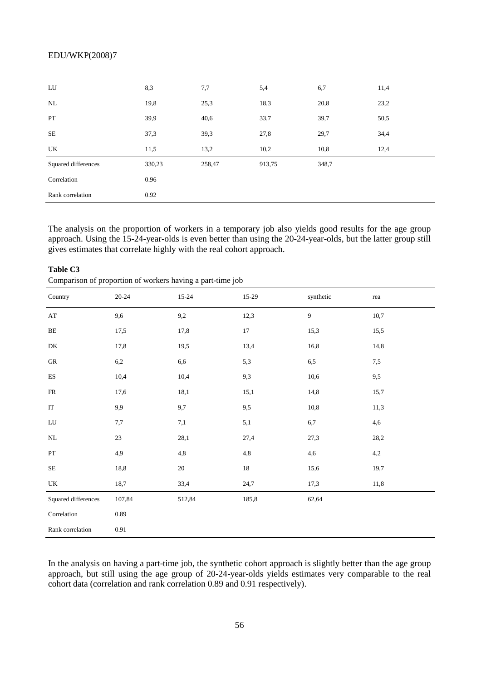| LU                  | 8,3    | 7,7    | 5,4    | 6,7   | 11,4 |
|---------------------|--------|--------|--------|-------|------|
| NL                  | 19,8   | 25,3   | 18,3   | 20,8  | 23,2 |
| PT                  | 39,9   | 40,6   | 33,7   | 39,7  | 50,5 |
| <b>SE</b>           | 37,3   | 39,3   | 27,8   | 29,7  | 34,4 |
| UK                  | 11,5   | 13,2   | 10,2   | 10,8  | 12,4 |
| Squared differences | 330,23 | 258,47 | 913,75 | 348,7 |      |
| Correlation         | 0.96   |        |        |       |      |
| Rank correlation    | 0.92   |        |        |       |      |

The analysis on the proportion of workers in a temporary job also yields good results for the age group approach. Using the 15-24-year-olds is even better than using the 20-24-year-olds, but the latter group still gives estimates that correlate highly with the real cohort approach.

| $\mathbf{r}$<br>×.              | $\mathbf{r}$ | ↩<br>$\mathbf{r}$<br>◡ |          |              |         |
|---------------------------------|--------------|------------------------|----------|--------------|---------|
| Country                         | $20 - 24$    | $15 - 24$              | $15-29$  | synthetic    | rea     |
| $\mathbf{A}\mathbf{T}$          | 9,6          | 9,2                    | 12,3     | $\mathbf{9}$ | 10,7    |
| $\rm BE$                        | 17,5         | 17,8                   | $17\,$   | 15,3         | 15,5    |
| ${\rm DK}$                      | 17,8         | 19,5                   | 13,4     | 16,8         | 14,8    |
| ${\rm GR}$                      | 6,2          | 6,6                    | 5,3      | $6,5$        | $7,\!5$ |
| $\mathop{\hbox{\rm ES}}$        | 10,4         | 10,4                   | 9,3      | 10,6         | 9,5     |
| ${\sf FR}$                      | 17,6         | 18,1                   | 15,1     | 14,8         | 15,7    |
| $\operatorname{IT}$             | 9,9          | 9,7                    | 9,5      | $10,8$       | 11,3    |
| ${\rm LU}$                      | $7,\!7$      | $7,\!1$                | $5,\!1$  | $_{6,7}$     | 4,6     |
| $\rm NL$                        | 23           | 28,1                   | 27,4     | 27,3         | 28,2    |
| PT                              | 4,9          | 4,8                    | $^{4,8}$ | 4,6          | 4,2     |
| $\rm SE$                        | 18,8         | 20                     | $18\,$   | 15,6         | 19,7    |
| $\ensuremath{\text{UK}}\xspace$ | 18,7         | 33,4                   | 24,7     | 17,3         | 11,8    |
| Squared differences             | 107,84       | 512,84                 | 185,8    | 62,64        |         |
| Correlation                     | 0.89         |                        |          |              |         |
| Rank correlation                | 0.91         |                        |          |              |         |

**Table C3** 

Comparison of proportion of workers having a part-time job

In the analysis on having a part-time job, the synthetic cohort approach is slightly better than the age group approach, but still using the age group of 20-24-year-olds yields estimates very comparable to the real cohort data (correlation and rank correlation 0.89 and 0.91 respectively).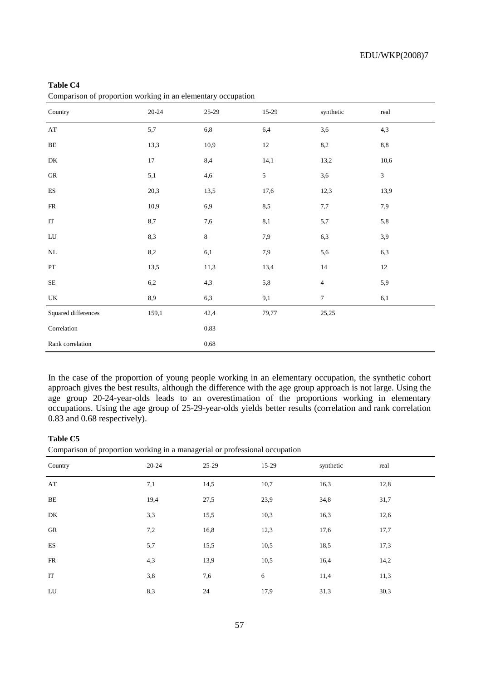| Table C4<br>Comparison of proportion working in an elementary occupation |           |          |            |                |              |  |
|--------------------------------------------------------------------------|-----------|----------|------------|----------------|--------------|--|
| Country                                                                  | $20 - 24$ | 25-29    | 15-29      | synthetic      | real         |  |
| $\mathbf{A}\mathbf{T}$                                                   | 5,7       | $6,8$    | 6,4        | 3,6            | 4,3          |  |
| $\rm BE$                                                                 | 13,3      | 10,9     | $12\,$     | 8,2            | $_{\rm 8,8}$ |  |
| ${\rm DK}$                                                               | $17\,$    | 8,4      | 14,1       | 13,2           | 10,6         |  |
| ${\rm GR}$                                                               | 5,1       | 4,6      | $\sqrt{5}$ | 3,6            | $\sqrt{3}$   |  |
| $\mathop{\hbox{\rm ES}}$                                                 | 20,3      | 13,5     | 17,6       | 12,3           | 13,9         |  |
| ${\sf FR}$                                                               | 10,9      | 6,9      | 8,5        | $7,\!7$        | 7,9          |  |
| $\operatorname{IT}$                                                      | 8,7       | 7,6      | 8,1        | 5,7            | 5,8          |  |
| ${\rm LU}$                                                               | 8,3       | $\,8\,$  | 7,9        | 6,3            | 3,9          |  |
| $\rm NL$                                                                 | $8,\!2$   | 6,1      | 7,9        | 5,6            | 6,3          |  |
| $\mathbf{PT}$                                                            | 13,5      | 11,3     | 13,4       | 14             | 12           |  |
| $\rm SE$                                                                 | 6,2       | 4,3      | 5,8        | $\overline{4}$ | 5,9          |  |
| UK                                                                       | 8,9       | 6,3      | $9,\!1$    | $\tau$         | 6,1          |  |
| Squared differences                                                      | 159,1     | 42,4     | 79,77      | 25,25          |              |  |
| Correlation                                                              |           | 0.83     |            |                |              |  |
| Rank correlation                                                         |           | $0.68\,$ |            |                |              |  |

In the case of the proportion of young people working in an elementary occupation, the synthetic cohort approach gives the best results, although the difference with the age group approach is not large. Using the age group 20-24-year-olds leads to an overestimation of the proportions working in elementary occupations. Using the age group of 25-29-year-olds yields better results (correlation and rank correlation 0.83 and 0.68 respectively).

## **Table C5**

Comparison of proportion working in a managerial or professional occupation

| Country | $20 - 24$ | 25-29 | 15-29 | synthetic | real |
|---------|-----------|-------|-------|-----------|------|
| AT      | 7,1       | 14,5  | 10,7  | 16,3      | 12,8 |
| BE      | 19,4      | 27,5  | 23,9  | 34,8      | 31,7 |
| DK      | 3,3       | 15,5  | 10,3  | 16,3      | 12,6 |
| GR      | 7,2       | 16,8  | 12,3  | 17,6      | 17,7 |
| ES      | 5,7       | 15,5  | 10,5  | 18,5      | 17,3 |
| FR      | 4,3       | 13,9  | 10,5  | 16,4      | 14,2 |
| IT      | 3,8       | 7,6   | 6     | 11,4      | 11,3 |
| LU      | 8,3       | 24    | 17,9  | 31,3      | 30,3 |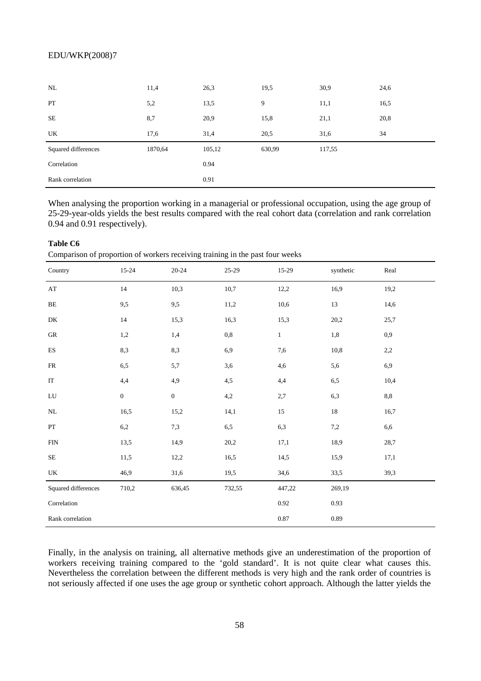| NL                  | 11,4    | 26,3   | 19,5   | 30,9   | 24,6 |
|---------------------|---------|--------|--------|--------|------|
| PT                  | 5,2     | 13,5   | 9      | 11,1   | 16,5 |
| <b>SE</b>           | 8,7     | 20,9   | 15,8   | 21,1   | 20,8 |
| UK                  | 17,6    | 31,4   | 20,5   | 31,6   | 34   |
| Squared differences | 1870,64 | 105,12 | 630,99 | 117,55 |      |
| Correlation         |         | 0.94   |        |        |      |
| Rank correlation    |         | 0.91   |        |        |      |

When analysing the proportion working in a managerial or professional occupation, using the age group of 25-29-year-olds yields the best results compared with the real cohort data (correlation and rank correlation 0.94 and 0.91 respectively).

## **Table C6**

Comparison of proportion of workers receiving training in the past four weeks

| Country                  | 15-24            | $20 - 24$        | 25-29        | 15-29      | synthetic | Real |
|--------------------------|------------------|------------------|--------------|------------|-----------|------|
| $\mathbf{A}\mathbf{T}$   | 14               | 10,3             | 10,7         | 12,2       | 16,9      | 19,2 |
| $\rm BE$                 | 9,5              | 9,5              | 11,2         | 10,6       | 13        | 14,6 |
| DK                       | 14               | 15,3             | 16,3         | 15,3       | 20,2      | 25,7 |
| ${\rm GR}$               | 1,2              | 1,4              | $_{\rm 0,8}$ | $\,1\,$    | $1,\!8$   | 0,9  |
| $\mathop{\hbox{\rm ES}}$ | 8,3              | 8,3              | 6,9          | $7,\!6$    | 10,8      | 2,2  |
| ${\sf FR}$               | 6,5              | 5,7              | 3,6          | 4,6        | 5,6       | 6,9  |
| $\operatorname{IT}$      | 4,4              | 4,9              | 4,5          | 4,4        | 6,5       | 10,4 |
| ${\rm LU}$               | $\boldsymbol{0}$ | $\boldsymbol{0}$ | 4,2          | 2,7        | 6,3       | 8,8  |
| NL                       | 16,5             | 15,2             | 14,1         | 15         | $18\,$    | 16,7 |
| $\mathbf{PT}$            | $6,\!2$          | 7,3              | $6,\!5$      | 6,3        | $7,\!2$   | 6,6  |
| ${\rm FIN}$              | 13,5             | 14,9             | 20,2         | 17,1       | 18,9      | 28,7 |
| $\rm SE$                 | 11,5             | 12,2             | 16,5         | 14,5       | 15,9      | 17,1 |
| UK                       | 46,9             | 31,6             | 19,5         | 34,6       | 33,5      | 39,3 |
| Squared differences      | 710,2            | 636,45           | 732,55       | 447,22     | 269,19    |      |
| Correlation              |                  |                  |              | $\rm 0.92$ | 0.93      |      |
| Rank correlation         |                  |                  |              | $0.87\,$   | 0.89      |      |

Finally, in the analysis on training, all alternative methods give an underestimation of the proportion of workers receiving training compared to the 'gold standard'. It is not quite clear what causes this. Nevertheless the correlation between the different methods is very high and the rank order of countries is not seriously affected if one uses the age group or synthetic cohort approach. Although the latter yields the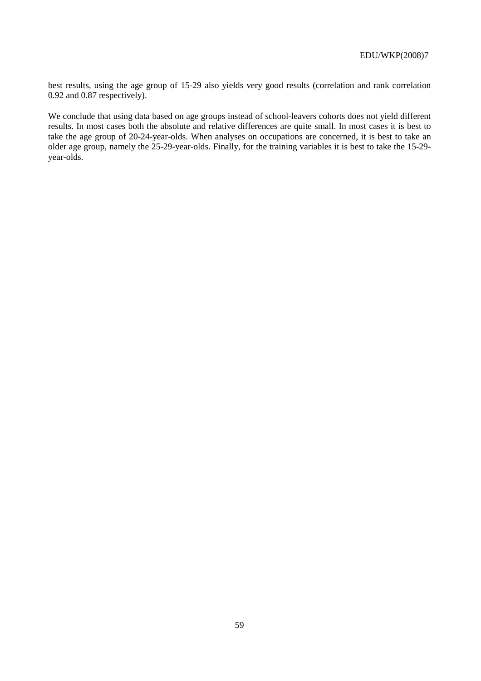best results, using the age group of 15-29 also yields very good results (correlation and rank correlation 0.92 and 0.87 respectively).

We conclude that using data based on age groups instead of school-leavers cohorts does not yield different results. In most cases both the absolute and relative differences are quite small. In most cases it is best to take the age group of 20-24-year-olds. When analyses on occupations are concerned, it is best to take an older age group, namely the 25-29-year-olds. Finally, for the training variables it is best to take the 15-29 year-olds.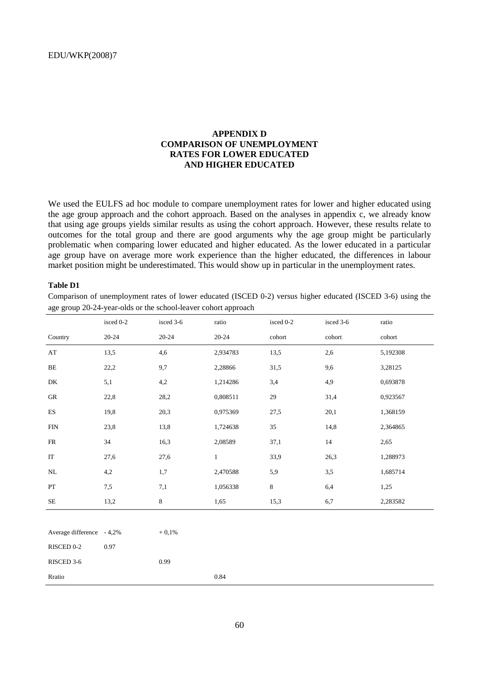## **APPENDIX D COMPARISON OF UNEMPLOYMENT RATES FOR LOWER EDUCATED AND HIGHER EDUCATED**

We used the EULFS ad hoc module to compare unemployment rates for lower and higher educated using the age group approach and the cohort approach. Based on the analyses in appendix c, we already know that using age groups yields similar results as using the cohort approach. However, these results relate to outcomes for the total group and there are good arguments why the age group might be particularly problematic when comparing lower educated and higher educated. As the lower educated in a particular age group have on average more work experience than the higher educated, the differences in labour market position might be underestimated. This would show up in particular in the unemployment rates.

#### **Table D1**

Comparison of unemployment rates of lower educated (ISCED 0-2) versus higher educated (ISCED 3-6) using the age group 20-24-year-olds or the school-leaver cohort approach

|                           | isced 0-2 | isced 3-6 | ratio        | isced 0-2 | isced 3-6 | ratio    |
|---------------------------|-----------|-----------|--------------|-----------|-----------|----------|
| Country                   | $20 - 24$ | $20 - 24$ | $20 - 24$    | cohort    | cohort    | cohort   |
| $\mathbf{A}\mathbf{T}$    | 13,5      | 4,6       | 2,934783     | 13,5      | 2,6       | 5,192308 |
| $\rm BE$                  | 22,2      | 9,7       | 2,28866      | 31,5      | 9,6       | 3,28125  |
| DK                        | 5,1       | 4,2       | 1,214286     | 3,4       | 4,9       | 0,693878 |
| GR                        | 22,8      | 28,2      | 0,808511     | 29        | 31,4      | 0,923567 |
| ${\rm ES}$                | 19,8      | 20,3      | 0,975369     | 27,5      | 20,1      | 1,368159 |
| ${\rm FIN}$               | 23,8      | 13,8      | 1,724638     | 35        | 14,8      | 2,364865 |
| FR                        | 34        | 16,3      | 2,08589      | 37,1      | 14        | 2,65     |
| $\rm IT$                  | 27,6      | 27,6      | $\mathbf{1}$ | 33,9      | 26,3      | 1,288973 |
| $\rm NL$                  | 4,2       | 1,7       | 2,470588     | 5,9       | 3,5       | 1,685714 |
| ${\cal PT}$               | 7,5       | 7,1       | 1,056338     | $\,8\,$   | 6,4       | 1,25     |
| $\rm SE$                  | 13,2      | 8         | 1,65         | 15,3      | 6,7       | 2,283582 |
|                           |           |           |              |           |           |          |
| Average difference - 4,2% |           | $+0,1%$   |              |           |           |          |

| RISCED 0-2 | 0.97 |      |      |  |
|------------|------|------|------|--|
| RISCED 3-6 |      | 0.99 |      |  |
| Rratio     |      |      | 0.84 |  |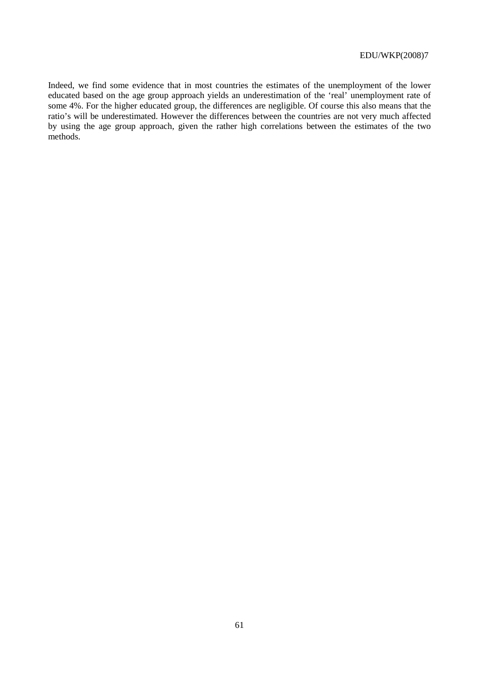Indeed, we find some evidence that in most countries the estimates of the unemployment of the lower educated based on the age group approach yields an underestimation of the 'real' unemployment rate of some 4%. For the higher educated group, the differences are negligible. Of course this also means that the ratio's will be underestimated. However the differences between the countries are not very much affected by using the age group approach, given the rather high correlations between the estimates of the two methods.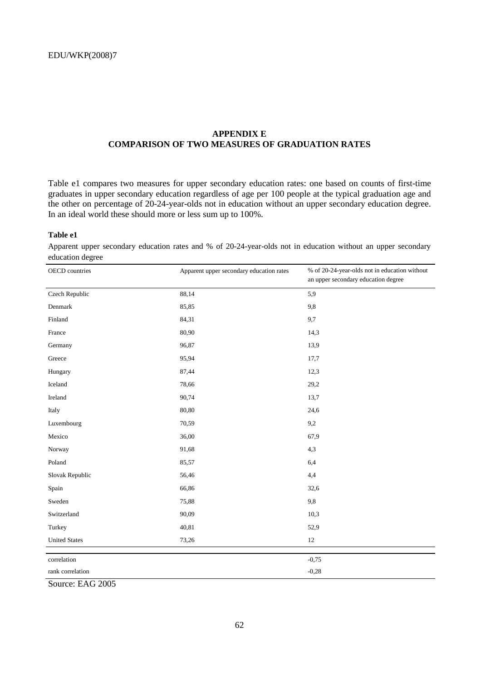## **APPENDIX E COMPARISON OF TWO MEASURES OF GRADUATION RATES**

Table e1 compares two measures for upper secondary education rates: one based on counts of first-time graduates in upper secondary education regardless of age per 100 people at the typical graduation age and the other on percentage of 20-24-year-olds not in education without an upper secondary education degree. In an ideal world these should more or less sum up to 100%.

#### **Table e1**

Apparent upper secondary education rates and % of 20-24-year-olds not in education without an upper secondary education degree

| OECD countries       | Apparent upper secondary education rates | % of 20-24-year-olds not in education without<br>an upper secondary education degree |
|----------------------|------------------------------------------|--------------------------------------------------------------------------------------|
| Czech Republic       | 88,14                                    | 5,9                                                                                  |
| Denmark              | 85,85                                    | 9,8                                                                                  |
| Finland              | 84,31                                    | 9,7                                                                                  |
| France               | 80,90                                    | 14,3                                                                                 |
| Germany              | 96,87                                    | 13,9                                                                                 |
| Greece               | 95,94                                    | 17,7                                                                                 |
| Hungary              | 87,44                                    | 12,3                                                                                 |
| Iceland              | 78,66                                    | 29,2                                                                                 |
| Ireland              | 90,74                                    | 13,7                                                                                 |
| Italy                | 80,80                                    | 24,6                                                                                 |
| Luxembourg           | 70,59                                    | 9,2                                                                                  |
| Mexico               | 36,00                                    | 67,9                                                                                 |
| Norway               | 91,68                                    | 4,3                                                                                  |
| Poland               | 85,57                                    | 6,4                                                                                  |
| Slovak Republic      | 56,46                                    | 4,4                                                                                  |
| Spain                | 66,86                                    | 32,6                                                                                 |
| Sweden               | 75,88                                    | 9,8                                                                                  |
| Switzerland          | 90,09                                    | 10,3                                                                                 |
| Turkey               | 40,81                                    | 52,9                                                                                 |
| <b>United States</b> | 73,26                                    | $12\,$                                                                               |
| correlation          |                                          | $-0,75$                                                                              |
| rank correlation     |                                          | $-0,28$                                                                              |
|                      |                                          |                                                                                      |

Source: EAG 2005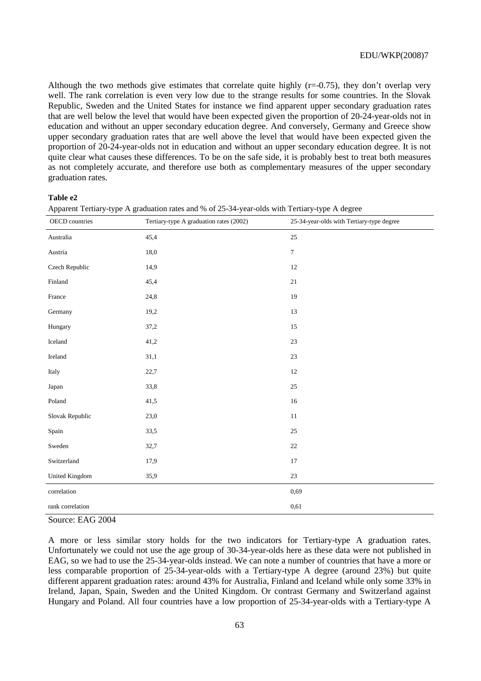Although the two methods give estimates that correlate quite highly  $(r=0.75)$ , they don't overlap very well. The rank correlation is even very low due to the strange results for some countries. In the Slovak Republic, Sweden and the United States for instance we find apparent upper secondary graduation rates that are well below the level that would have been expected given the proportion of 20-24-year-olds not in education and without an upper secondary education degree. And conversely, Germany and Greece show upper secondary graduation rates that are well above the level that would have been expected given the proportion of 20-24-year-olds not in education and without an upper secondary education degree. It is not quite clear what causes these differences. To be on the safe side, it is probably best to treat both measures as not completely accurate, and therefore use both as complementary measures of the upper secondary graduation rates.

#### **Table e2**

| Apparent Tertiary-type A graduation rates and % of 25-34-year-olds with Tertiary-type A degree |  |  |
|------------------------------------------------------------------------------------------------|--|--|
|------------------------------------------------------------------------------------------------|--|--|

| OECD countries        | Tertiary-type A graduation rates (2002) | 25-34-year-olds with Tertiary-type degree |
|-----------------------|-----------------------------------------|-------------------------------------------|
| Australia             | 45,4                                    | 25                                        |
| Austria               | 18,0                                    | $\tau$                                    |
| Czech Republic        | 14,9                                    | $12\,$                                    |
| Finland               | 45,4                                    | 21                                        |
| France                | 24,8                                    | 19                                        |
| Germany               | 19,2                                    | 13                                        |
| Hungary               | 37,2                                    | $15\,$                                    |
| Iceland               | 41,2                                    | 23                                        |
| Ireland               | 31,1                                    | $23\,$                                    |
| Italy                 | 22,7                                    | $12\,$                                    |
| Japan                 | 33,8                                    | $25\,$                                    |
| Poland                | 41,5                                    | $16\,$                                    |
| Slovak Republic       | 23,0                                    | $11\,$                                    |
| Spain                 | 33,5                                    | $25\,$                                    |
| Sweden                | 32,7                                    | $22\,$                                    |
| Switzerland           | 17,9                                    | 17                                        |
| <b>United Kingdom</b> | 35,9                                    | $23\,$                                    |
| correlation           |                                         | 0,69                                      |
| rank correlation      |                                         | 0,61                                      |

Source: EAG 2004

A more or less similar story holds for the two indicators for Tertiary-type A graduation rates. Unfortunately we could not use the age group of 30-34-year-olds here as these data were not published in EAG, so we had to use the 25-34-year-olds instead. We can note a number of countries that have a more or less comparable proportion of 25-34-year-olds with a Tertiary-type A degree (around 23%) but quite different apparent graduation rates: around 43% for Australia, Finland and Iceland while only some 33% in Ireland, Japan, Spain, Sweden and the United Kingdom. Or contrast Germany and Switzerland against Hungary and Poland. All four countries have a low proportion of 25-34-year-olds with a Tertiary-type A